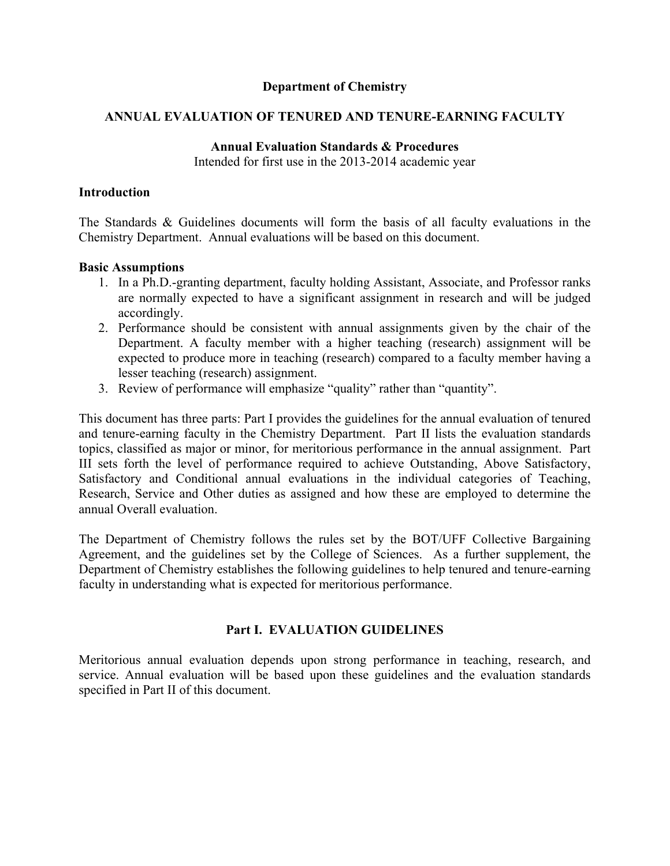## **Department of Chemistry**

## **ANNUAL EVALUATION OF TENURED AND TENURE-EARNING FACULTY**

### **Annual Evaluation Standards & Procedures**

Intended for first use in the 2013-2014 academic year

### **Introduction**

The Standards & Guidelines documents will form the basis of all faculty evaluations in the Chemistry Department. Annual evaluations will be based on this document.

## **Basic Assumptions**

- 1. In a Ph.D.-granting department, faculty holding Assistant, Associate, and Professor ranks are normally expected to have a significant assignment in research and will be judged accordingly.
- 2. Performance should be consistent with annual assignments given by the chair of the Department. A faculty member with a higher teaching (research) assignment will be expected to produce more in teaching (research) compared to a faculty member having a lesser teaching (research) assignment.
- 3. Review of performance will emphasize "quality" rather than "quantity".

This document has three parts: Part I provides the guidelines for the annual evaluation of tenured and tenure-earning faculty in the Chemistry Department. Part II lists the evaluation standards topics, classified as major or minor, for meritorious performance in the annual assignment. Part III sets forth the level of performance required to achieve Outstanding, Above Satisfactory, Satisfactory and Conditional annual evaluations in the individual categories of Teaching, Research, Service and Other duties as assigned and how these are employed to determine the annual Overall evaluation.

The Department of Chemistry follows the rules set by the BOT/UFF Collective Bargaining Agreement, and the guidelines set by the College of Sciences. As a further supplement, the Department of Chemistry establishes the following guidelines to help tenured and tenure-earning faculty in understanding what is expected for meritorious performance.

# **Part I. EVALUATION GUIDELINES**

Meritorious annual evaluation depends upon strong performance in teaching, research, and service. Annual evaluation will be based upon these guidelines and the evaluation standards specified in Part II of this document.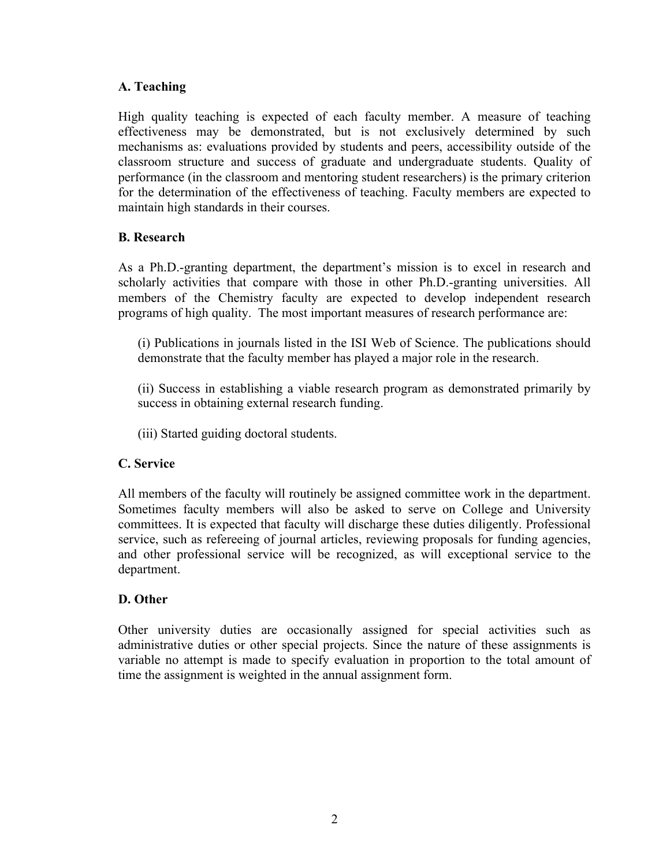# **A. Teaching**

High quality teaching is expected of each faculty member. A measure of teaching effectiveness may be demonstrated, but is not exclusively determined by such mechanisms as: evaluations provided by students and peers, accessibility outside of the classroom structure and success of graduate and undergraduate students. Quality of performance (in the classroom and mentoring student researchers) is the primary criterion for the determination of the effectiveness of teaching. Faculty members are expected to maintain high standards in their courses.

## **B. Research**

As a Ph.D.-granting department, the department's mission is to excel in research and scholarly activities that compare with those in other Ph.D.-granting universities. All members of the Chemistry faculty are expected to develop independent research programs of high quality. The most important measures of research performance are:

(i) Publications in journals listed in the ISI Web of Science. The publications should demonstrate that the faculty member has played a major role in the research.

(ii) Success in establishing a viable research program as demonstrated primarily by success in obtaining external research funding.

(iii) Started guiding doctoral students.

# **C. Service**

All members of the faculty will routinely be assigned committee work in the department. Sometimes faculty members will also be asked to serve on College and University committees. It is expected that faculty will discharge these duties diligently. Professional service, such as refereeing of journal articles, reviewing proposals for funding agencies, and other professional service will be recognized, as will exceptional service to the department.

# **D. Other**

Other university duties are occasionally assigned for special activities such as administrative duties or other special projects. Since the nature of these assignments is variable no attempt is made to specify evaluation in proportion to the total amount of time the assignment is weighted in the annual assignment form.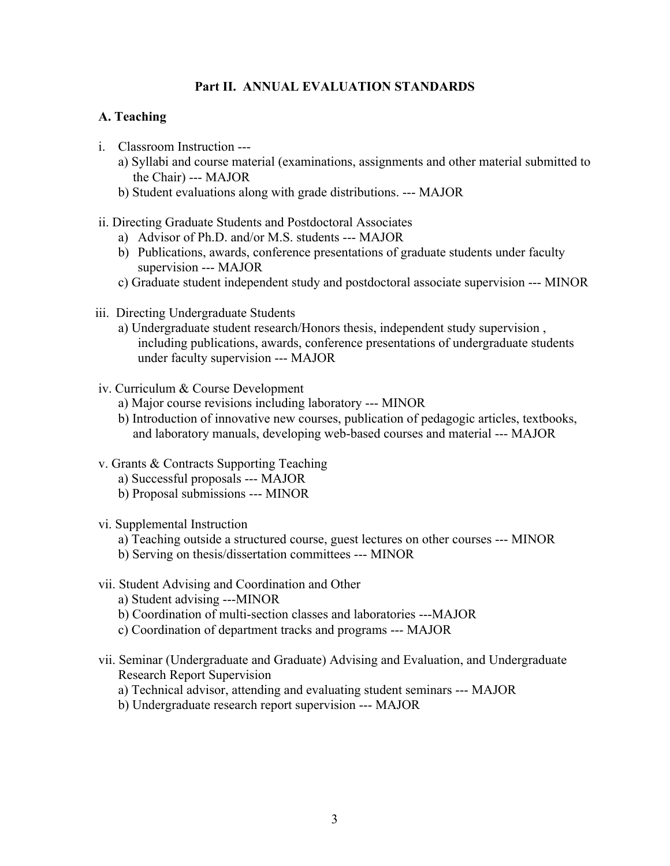## **Part II. ANNUAL EVALUATION STANDARDS**

### **A. Teaching**

- i. Classroom Instruction --
	- a) Syllabi and course material (examinations, assignments and other material submitted to the Chair) --- MAJOR
	- b) Student evaluations along with grade distributions. --- MAJOR

#### ii. Directing Graduate Students and Postdoctoral Associates

- a) Advisor of Ph.D. and/or M.S. students --- MAJOR
- b) Publications, awards, conference presentations of graduate students under faculty supervision --- MAJOR
- c) Graduate student independent study and postdoctoral associate supervision --- MINOR
- iii. Directing Undergraduate Students
	- a) Undergraduate student research/Honors thesis, independent study supervision , including publications, awards, conference presentations of undergraduate students under faculty supervision --- MAJOR
- iv. Curriculum & Course Development
	- a) Major course revisions including laboratory --- MINOR
	- b) Introduction of innovative new courses, publication of pedagogic articles, textbooks, and laboratory manuals, developing web-based courses and material --- MAJOR
- v. Grants & Contracts Supporting Teaching
	- a) Successful proposals --- MAJOR
	- b) Proposal submissions --- MINOR
- vi. Supplemental Instruction
	- a) Teaching outside a structured course, guest lectures on other courses --- MINOR
	- b) Serving on thesis/dissertation committees --- MINOR
- vii. Student Advising and Coordination and Other
	- a) Student advising ---MINOR
	- b) Coordination of multi-section classes and laboratories ---MAJOR
	- c) Coordination of department tracks and programs --- MAJOR
- vii. Seminar (Undergraduate and Graduate) Advising and Evaluation, and Undergraduate Research Report Supervision
	- a) Technical advisor, attending and evaluating student seminars --- MAJOR
	- b) Undergraduate research report supervision --- MAJOR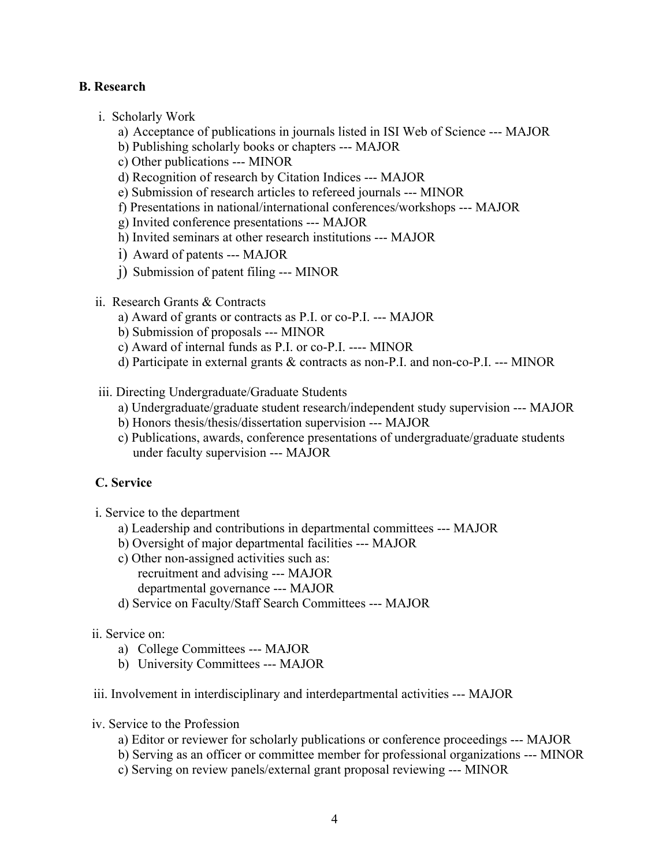## **B. Research**

- i. Scholarly Work
	- a) Acceptance of publications in journals listed in ISI Web of Science --- MAJOR
	- b) Publishing scholarly books or chapters --- MAJOR
	- c) Other publications --- MINOR
	- d) Recognition of research by Citation Indices --- MAJOR
	- e) Submission of research articles to refereed journals --- MINOR
	- f) Presentations in national/international conferences/workshops --- MAJOR
	- g) Invited conference presentations --- MAJOR
	- h) Invited seminars at other research institutions --- MAJOR
	- i) Award of patents --- MAJOR
	- j) Submission of patent filing --- MINOR
- ii. Research Grants & Contracts
	- a) Award of grants or contracts as P.I. or co-P.I. --- MAJOR
	- b) Submission of proposals --- MINOR
	- c) Award of internal funds as P.I. or co-P.I. ---- MINOR
	- d) Participate in external grants & contracts as non-P.I. and non-co-P.I. --- MINOR
- iii. Directing Undergraduate/Graduate Students
	- a) Undergraduate/graduate student research/independent study supervision --- MAJOR
	- b) Honors thesis/thesis/dissertation supervision --- MAJOR
	- c) Publications, awards, conference presentations of undergraduate/graduate students under faculty supervision --- MAJOR

# **C. Service**

- i. Service to the department
	- a) Leadership and contributions in departmental committees --- MAJOR
	- b) Oversight of major departmental facilities --- MAJOR
	- c) Other non-assigned activities such as: recruitment and advising --- MAJOR departmental governance --- MAJOR
	- d) Service on Faculty/Staff Search Committees --- MAJOR

### ii. Service on:

- a) College Committees --- MAJOR
- b) University Committees --- MAJOR
- iii. Involvement in interdisciplinary and interdepartmental activities --- MAJOR
- iv. Service to the Profession
	- a) Editor or reviewer for scholarly publications or conference proceedings --- MAJOR
	- b) Serving as an officer or committee member for professional organizations --- MINOR
	- c) Serving on review panels/external grant proposal reviewing --- MINOR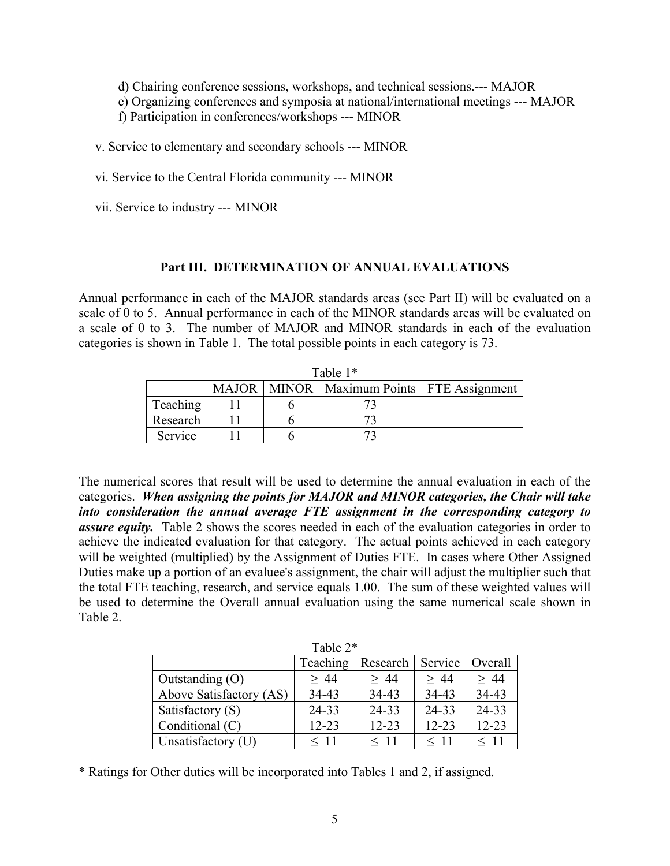d) Chairing conference sessions, workshops, and technical sessions.--- MAJOR

e) Organizing conferences and symposia at national/international meetings --- MAJOR

f) Participation in conferences/workshops --- MINOR

v. Service to elementary and secondary schools --- MINOR

vi. Service to the Central Florida community --- MINOR

vii. Service to industry --- MINOR

## **Part III. DETERMINATION OF ANNUAL EVALUATIONS**

Annual performance in each of the MAJOR standards areas (see Part II) will be evaluated on a scale of 0 to 5. Annual performance in each of the MINOR standards areas will be evaluated on a scale of 0 to 3. The number of MAJOR and MINOR standards in each of the evaluation categories is shown in Table 1. The total possible points in each category is 73.

| rabie i t |  |  |                                                 |  |  |  |  |  |
|-----------|--|--|-------------------------------------------------|--|--|--|--|--|
|           |  |  | MAJOR   MINOR   Maximum Points   FTE Assignment |  |  |  |  |  |
| Teaching  |  |  |                                                 |  |  |  |  |  |
| Research  |  |  |                                                 |  |  |  |  |  |
| Service   |  |  |                                                 |  |  |  |  |  |

 $T_0 h l_0$  1\*

The numerical scores that result will be used to determine the annual evaluation in each of the categories. *When assigning the points for MAJOR and MINOR categories, the Chair will take into consideration the annual average FTE assignment in the corresponding category to assure equity.* Table 2 shows the scores needed in each of the evaluation categories in order to achieve the indicated evaluation for that category. The actual points achieved in each category will be weighted (multiplied) by the Assignment of Duties FTE. In cases where Other Assigned Duties make up a portion of an evaluee's assignment, the chair will adjust the multiplier such that the total FTE teaching, research, and service equals 1.00. The sum of these weighted values will be used to determine the Overall annual evaluation using the same numerical scale shown in Table 2.

| Table 2 <sup>*</sup>    |           |           |           |           |  |  |  |
|-------------------------|-----------|-----------|-----------|-----------|--|--|--|
|                         | Teaching  | Research  | Service   | Overall   |  |  |  |
| Outstanding $(O)$       | > 44      | > 44      | >44       | $\geq 44$ |  |  |  |
| Above Satisfactory (AS) | 34-43     | 34-43     | 34-43     | 34-43     |  |  |  |
| Satisfactory (S)        | 24-33     | 24-33     | 24-33     | 24-33     |  |  |  |
| Conditional (C)         | $12 - 23$ | $12 - 23$ | $12 - 23$ | $12 - 23$ |  |  |  |
| Unsatisfactory (U)      | $<\,11$   | $\leq 11$ | $\leq 11$ | $\leq 11$ |  |  |  |

\* Ratings for Other duties will be incorporated into Tables 1 and 2, if assigned.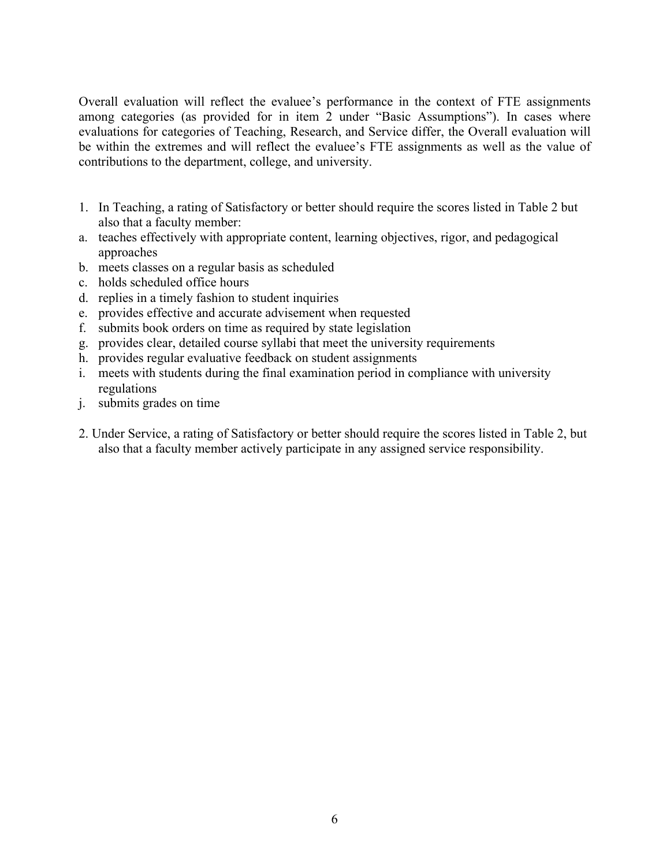Overall evaluation will reflect the evaluee's performance in the context of FTE assignments among categories (as provided for in item 2 under "Basic Assumptions"). In cases where evaluations for categories of Teaching, Research, and Service differ, the Overall evaluation will be within the extremes and will reflect the evaluee's FTE assignments as well as the value of contributions to the department, college, and university.

- 1. In Teaching, a rating of Satisfactory or better should require the scores listed in Table 2 but also that a faculty member:
- a. teaches effectively with appropriate content, learning objectives, rigor, and pedagogical approaches
- b. meets classes on a regular basis as scheduled
- c. holds scheduled office hours
- d. replies in a timely fashion to student inquiries
- e. provides effective and accurate advisement when requested
- f. submits book orders on time as required by state legislation
- g. provides clear, detailed course syllabi that meet the university requirements
- h. provides regular evaluative feedback on student assignments
- i. meets with students during the final examination period in compliance with university regulations
- j. submits grades on time
- 2. Under Service, a rating of Satisfactory or better should require the scores listed in Table 2, but also that a faculty member actively participate in any assigned service responsibility.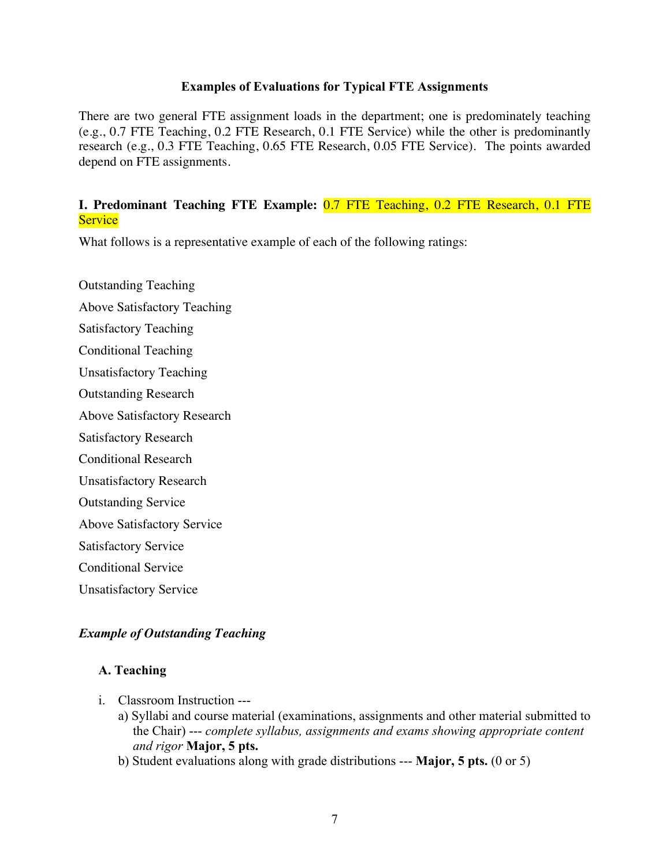#### **Examples of Evaluations for Typical FTE Assignments**

There are two general FTE assignment loads in the department; one is predominately teaching (e.g., 0.7 FTE Teaching, 0.2 FTE Research, 0.1 FTE Service) while the other is predominantly research (e.g., 0.3 FTE Teaching, 0.65 FTE Research, 0.05 FTE Service). The points awarded depend on FTE assignments.

## **I. Predominant Teaching FTE Example:** 0.7 FTE Teaching, 0.2 FTE Research, 0.1 FTE **Service**

What follows is a representative example of each of the following ratings:

Outstanding Teaching Above Satisfactory Teaching Satisfactory Teaching Conditional Teaching Unsatisfactory Teaching Outstanding Research Above Satisfactory Research Satisfactory Research Conditional Research Unsatisfactory Research Outstanding Service Above Satisfactory Service Satisfactory Service Conditional Service Unsatisfactory Service

# *Example of Outstanding Teaching*

### **A. Teaching**

- i. Classroom Instruction --
	- a) Syllabi and course material (examinations, assignments and other material submitted to the Chair) --- *complete syllabus, assignments and exams showing appropriate content and rigor* **Major, 5 pts.**
	- b) Student evaluations along with grade distributions --- **Major, 5 pts.** (0 or 5)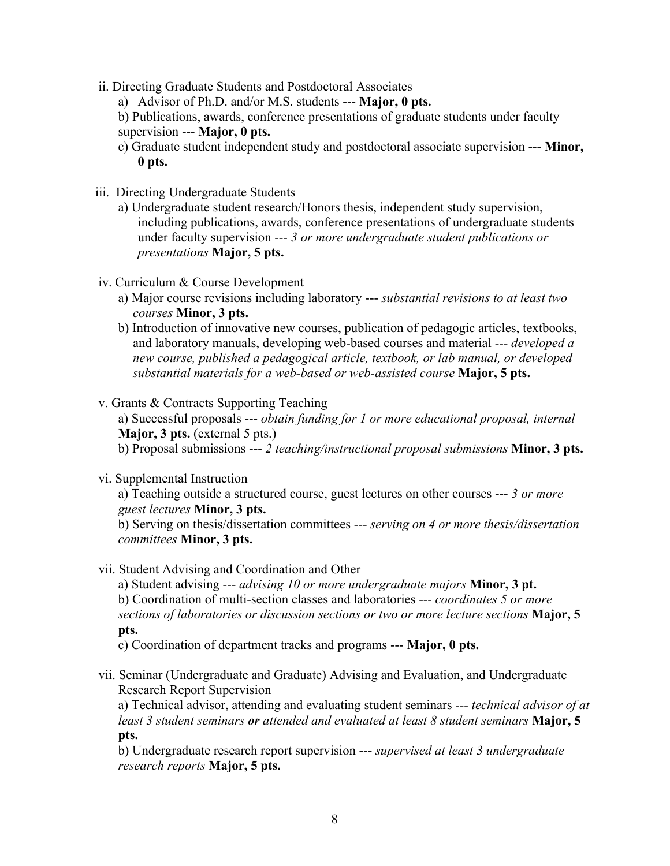- ii. Directing Graduate Students and Postdoctoral Associates
	- a) Advisor of Ph.D. and/or M.S. students --- **Major, 0 pts.**

b) Publications, awards, conference presentations of graduate students under faculty supervision --- **Major, 0 pts.**

- c) Graduate student independent study and postdoctoral associate supervision --- **Minor, 0 pts.**
- iii. Directing Undergraduate Students
	- a) Undergraduate student research/Honors thesis, independent study supervision, including publications, awards, conference presentations of undergraduate students under faculty supervision --- *3 or more undergraduate student publications or presentations* **Major, 5 pts.**
- iv. Curriculum & Course Development
	- a) Major course revisions including laboratory --- *substantial revisions to at least two courses* **Minor, 3 pts.**
	- b) Introduction of innovative new courses, publication of pedagogic articles, textbooks, and laboratory manuals, developing web-based courses and material --- *developed a new course, published a pedagogical article, textbook, or lab manual, or developed substantial materials for a web-based or web-assisted course* **Major, 5 pts.**
- v. Grants & Contracts Supporting Teaching

a) Successful proposals --- *obtain funding for 1 or more educational proposal, internal*  **Major, 3 pts.** (external 5 pts.) b) Proposal submissions --- *2 teaching/instructional proposal submissions* **Minor, 3 pts.**

vi. Supplemental Instruction

a) Teaching outside a structured course, guest lectures on other courses --- *3 or more guest lectures* **Minor, 3 pts.**

b) Serving on thesis/dissertation committees --- *serving on 4 or more thesis/dissertation committees* **Minor, 3 pts.**

vii. Student Advising and Coordination and Other

a) Student advising --- *advising 10 or more undergraduate majors* **Minor, 3 pt.** b) Coordination of multi-section classes and laboratories --- *coordinates 5 or more sections of laboratories or discussion sections or two or more lecture sections* **Major, 5 pts.**

c) Coordination of department tracks and programs --- **Major, 0 pts.**

vii. Seminar (Undergraduate and Graduate) Advising and Evaluation, and Undergraduate Research Report Supervision

a) Technical advisor, attending and evaluating student seminars --- *technical advisor of at least 3 student seminars or attended and evaluated at least 8 student seminars* **Major, 5 pts.**

b) Undergraduate research report supervision --- *supervised at least 3 undergraduate research reports* **Major, 5 pts.**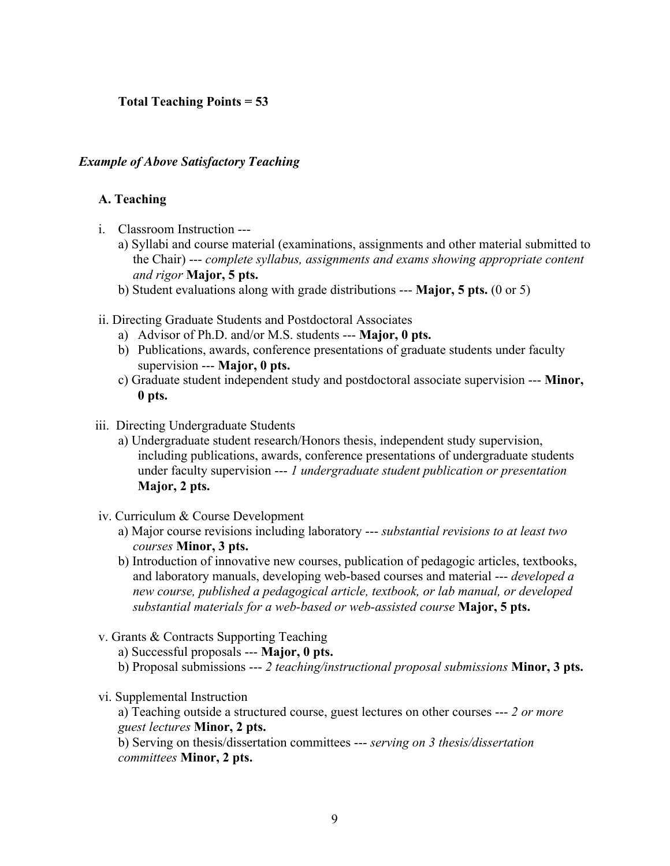# **Total Teaching Points = 53**

## *Example of Above Satisfactory Teaching*

### **A. Teaching**

- i. Classroom Instruction --
	- a) Syllabi and course material (examinations, assignments and other material submitted to the Chair) --- *complete syllabus, assignments and exams showing appropriate content and rigor* **Major, 5 pts.**
	- b) Student evaluations along with grade distributions --- **Major, 5 pts.** (0 or 5)
- ii. Directing Graduate Students and Postdoctoral Associates
	- a) Advisor of Ph.D. and/or M.S. students --- **Major, 0 pts.**
	- b) Publications, awards, conference presentations of graduate students under faculty supervision --- **Major, 0 pts.**
	- c) Graduate student independent study and postdoctoral associate supervision --- **Minor, 0 pts.**
- iii. Directing Undergraduate Students
	- a) Undergraduate student research/Honors thesis, independent study supervision, including publications, awards, conference presentations of undergraduate students under faculty supervision --- *1 undergraduate student publication or presentation* **Major, 2 pts.**
- iv. Curriculum & Course Development
	- a) Major course revisions including laboratory --- *substantial revisions to at least two courses* **Minor, 3 pts.**
	- b) Introduction of innovative new courses, publication of pedagogic articles, textbooks, and laboratory manuals, developing web-based courses and material --- *developed a new course, published a pedagogical article, textbook, or lab manual, or developed substantial materials for a web-based or web-assisted course* **Major, 5 pts.**
- v. Grants & Contracts Supporting Teaching

a) Successful proposals --- **Major, 0 pts.**

- b) Proposal submissions --- *2 teaching/instructional proposal submissions* **Minor, 3 pts.**
- vi. Supplemental Instruction

a) Teaching outside a structured course, guest lectures on other courses --- *2 or more guest lectures* **Minor, 2 pts.**

b) Serving on thesis/dissertation committees --- *serving on 3 thesis/dissertation committees* **Minor, 2 pts.**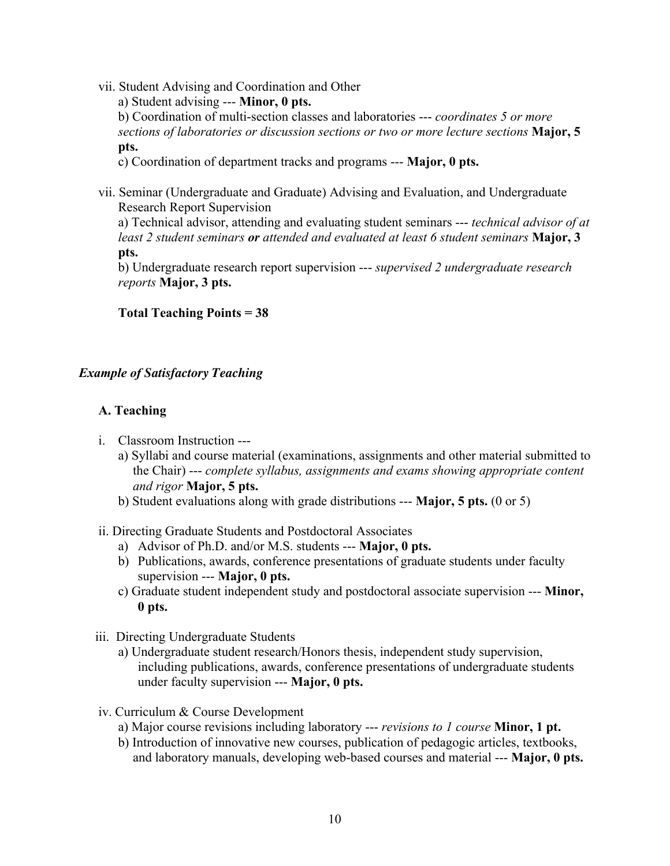vii. Student Advising and Coordination and Other

a) Student advising --- **Minor, 0 pts.** b) Coordination of multi-section classes and laboratories --- *coordinates 5 or more sections of laboratories or discussion sections or two or more lecture sections* **Major, 5 pts.**

c) Coordination of department tracks and programs --- **Major, 0 pts.**

vii. Seminar (Undergraduate and Graduate) Advising and Evaluation, and Undergraduate Research Report Supervision

a) Technical advisor, attending and evaluating student seminars --- *technical advisor of at least 2 student seminars or attended and evaluated at least 6 student seminars* **Major, 3 pts.**

b) Undergraduate research report supervision --- *supervised 2 undergraduate research reports* **Major, 3 pts.**

# **Total Teaching Points = 38**

# *Example of Satisfactory Teaching*

# **A. Teaching**

- i. Classroom Instruction --
	- a) Syllabi and course material (examinations, assignments and other material submitted to the Chair) --- *complete syllabus, assignments and exams showing appropriate content and rigor* **Major, 5 pts.**
	- b) Student evaluations along with grade distributions --- **Major, 5 pts.** (0 or 5)

# ii. Directing Graduate Students and Postdoctoral Associates

- a) Advisor of Ph.D. and/or M.S. students --- **Major, 0 pts.**
- b) Publications, awards, conference presentations of graduate students under faculty supervision --- **Major, 0 pts.**
- c) Graduate student independent study and postdoctoral associate supervision --- **Minor, 0 pts.**
- iii. Directing Undergraduate Students
	- a) Undergraduate student research/Honors thesis, independent study supervision, including publications, awards, conference presentations of undergraduate students under faculty supervision --- **Major, 0 pts.**
- iv. Curriculum & Course Development
	- a) Major course revisions including laboratory --- *revisions to 1 course* **Minor, 1 pt.**
	- b) Introduction of innovative new courses, publication of pedagogic articles, textbooks, and laboratory manuals, developing web-based courses and material --- **Major, 0 pts.**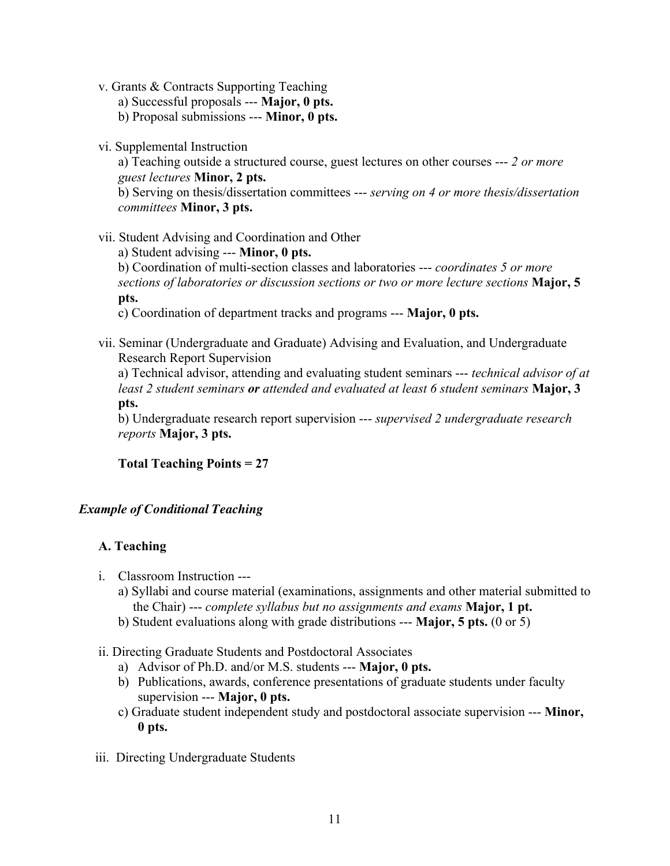v. Grants & Contracts Supporting Teaching

a) Successful proposals --- **Major, 0 pts.**

b) Proposal submissions --- **Minor, 0 pts.**

vi. Supplemental Instruction

a) Teaching outside a structured course, guest lectures on other courses --- *2 or more guest lectures* **Minor, 2 pts.** b) Serving on thesis/dissertation committees --- *serving on 4 or more thesis/dissertation committees* **Minor, 3 pts.**

vii. Student Advising and Coordination and Other

a) Student advising --- **Minor, 0 pts.**

b) Coordination of multi-section classes and laboratories --- *coordinates 5 or more sections of laboratories or discussion sections or two or more lecture sections* **Major, 5 pts.**

c) Coordination of department tracks and programs --- **Major, 0 pts.**

vii. Seminar (Undergraduate and Graduate) Advising and Evaluation, and Undergraduate Research Report Supervision

a) Technical advisor, attending and evaluating student seminars --- *technical advisor of at least 2 student seminars or attended and evaluated at least 6 student seminars* **Major, 3 pts.**

b) Undergraduate research report supervision --- *supervised 2 undergraduate research reports* **Major, 3 pts.**

**Total Teaching Points = 27**

# *Example of Conditional Teaching*

# **A. Teaching**

- i. Classroom Instruction --
	- a) Syllabi and course material (examinations, assignments and other material submitted to the Chair) --- *complete syllabus but no assignments and exams* **Major, 1 pt.**
	- b) Student evaluations along with grade distributions --- **Major, 5 pts.** (0 or 5)
- ii. Directing Graduate Students and Postdoctoral Associates
	- a) Advisor of Ph.D. and/or M.S. students --- **Major, 0 pts.**
	- b) Publications, awards, conference presentations of graduate students under faculty supervision --- **Major, 0 pts.**
	- c) Graduate student independent study and postdoctoral associate supervision --- **Minor, 0 pts.**
- iii. Directing Undergraduate Students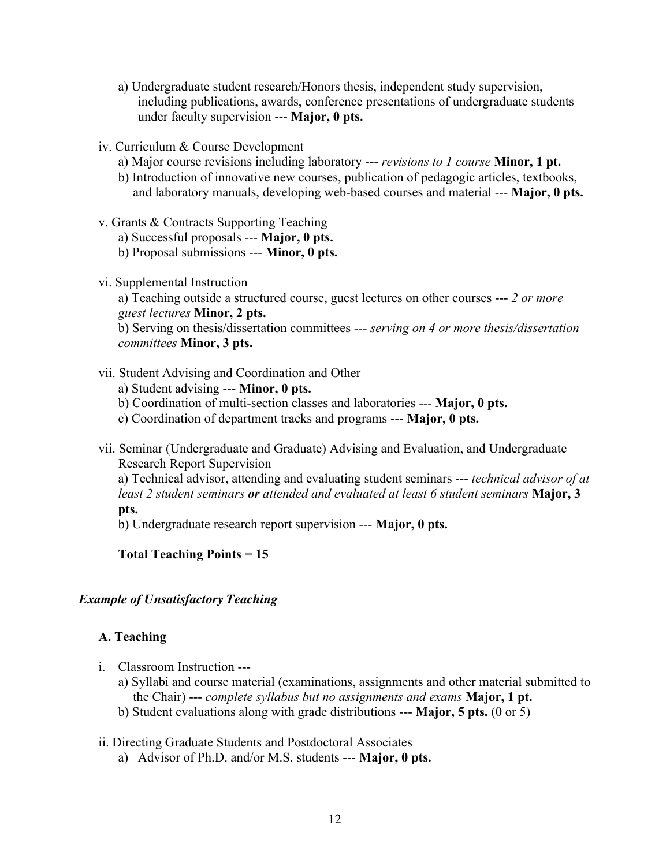- a) Undergraduate student research/Honors thesis, independent study supervision, including publications, awards, conference presentations of undergraduate students under faculty supervision --- **Major, 0 pts.**
- iv. Curriculum & Course Development
	- a) Major course revisions including laboratory --- *revisions to 1 course* **Minor, 1 pt.**
	- b) Introduction of innovative new courses, publication of pedagogic articles, textbooks, and laboratory manuals, developing web-based courses and material --- **Major, 0 pts.**
- v. Grants & Contracts Supporting Teaching
	- a) Successful proposals --- **Major, 0 pts.**
	- b) Proposal submissions --- **Minor, 0 pts.**
- vi. Supplemental Instruction

a) Teaching outside a structured course, guest lectures on other courses --- *2 or more guest lectures* **Minor, 2 pts.** b) Serving on thesis/dissertation committees --- *serving on 4 or more thesis/dissertation committees* **Minor, 3 pts.**

vii. Student Advising and Coordination and Other

a) Student advising --- **Minor, 0 pts.**

- b) Coordination of multi-section classes and laboratories --- **Major, 0 pts.**
- c) Coordination of department tracks and programs --- **Major, 0 pts.**
- vii. Seminar (Undergraduate and Graduate) Advising and Evaluation, and Undergraduate Research Report Supervision

a) Technical advisor, attending and evaluating student seminars --- *technical advisor of at least 2 student seminars or attended and evaluated at least 6 student seminars* **Major, 3 pts.**

b) Undergraduate research report supervision --- **Major, 0 pts.**

### **Total Teaching Points = 15**

### *Example of Unsatisfactory Teaching*

### **A. Teaching**

- i. Classroom Instruction --
	- a) Syllabi and course material (examinations, assignments and other material submitted to the Chair) --- *complete syllabus but no assignments and exams* **Major, 1 pt.**
	- b) Student evaluations along with grade distributions --- **Major, 5 pts.** (0 or 5)

### ii. Directing Graduate Students and Postdoctoral Associates

a) Advisor of Ph.D. and/or M.S. students --- **Major, 0 pts.**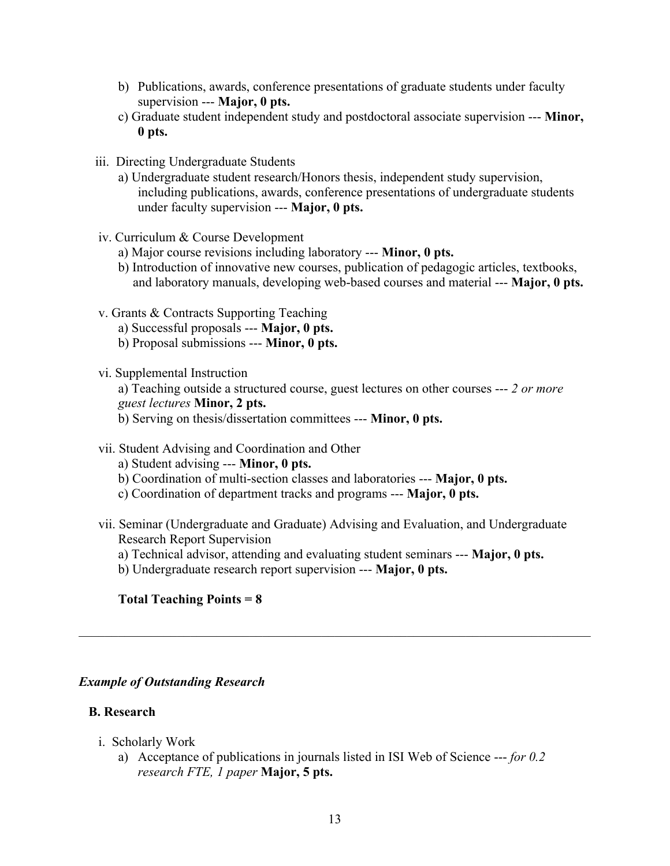- b) Publications, awards, conference presentations of graduate students under faculty supervision --- **Major, 0 pts.**
- c) Graduate student independent study and postdoctoral associate supervision --- **Minor, 0 pts.**
- iii. Directing Undergraduate Students
	- a) Undergraduate student research/Honors thesis, independent study supervision, including publications, awards, conference presentations of undergraduate students under faculty supervision --- **Major, 0 pts.**
- iv. Curriculum & Course Development
	- a) Major course revisions including laboratory --- **Minor, 0 pts.**
	- b) Introduction of innovative new courses, publication of pedagogic articles, textbooks, and laboratory manuals, developing web-based courses and material --- **Major, 0 pts.**
- v. Grants & Contracts Supporting Teaching
	- a) Successful proposals --- **Major, 0 pts.**
	- b) Proposal submissions --- **Minor, 0 pts.**
- vi. Supplemental Instruction

a) Teaching outside a structured course, guest lectures on other courses --- *2 or more guest lectures* **Minor, 2 pts.**

b) Serving on thesis/dissertation committees --- **Minor, 0 pts.**

- vii. Student Advising and Coordination and Other
	- a) Student advising --- **Minor, 0 pts.**
	- b) Coordination of multi-section classes and laboratories --- **Major, 0 pts.**
	- c) Coordination of department tracks and programs --- **Major, 0 pts.**
- vii. Seminar (Undergraduate and Graduate) Advising and Evaluation, and Undergraduate Research Report Supervision
	- a) Technical advisor, attending and evaluating student seminars --- **Major, 0 pts.**

 $\mathcal{L}_\mathcal{L} = \{ \mathcal{L}_\mathcal{L} = \{ \mathcal{L}_\mathcal{L} = \{ \mathcal{L}_\mathcal{L} = \{ \mathcal{L}_\mathcal{L} = \{ \mathcal{L}_\mathcal{L} = \{ \mathcal{L}_\mathcal{L} = \{ \mathcal{L}_\mathcal{L} = \{ \mathcal{L}_\mathcal{L} = \{ \mathcal{L}_\mathcal{L} = \{ \mathcal{L}_\mathcal{L} = \{ \mathcal{L}_\mathcal{L} = \{ \mathcal{L}_\mathcal{L} = \{ \mathcal{L}_\mathcal{L} = \{ \mathcal{L}_\mathcal{$ 

b) Undergraduate research report supervision --- **Major, 0 pts.**

### **Total Teaching Points = 8**

### *Example of Outstanding Research*

#### **B. Research**

- i. Scholarly Work
	- a) Acceptance of publications in journals listed in ISI Web of Science --- *for 0.2 research FTE, 1 paper* **Major, 5 pts.**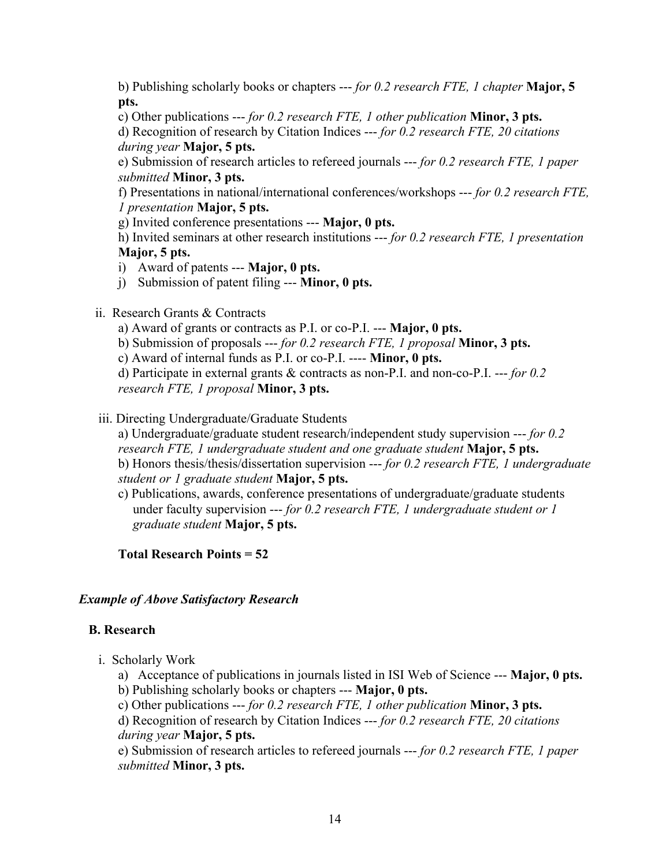b) Publishing scholarly books or chapters --- *for 0.2 research FTE, 1 chapter* **Major, 5 pts.**

c) Other publications --- *for 0.2 research FTE, 1 other publication* **Minor, 3 pts.** d) Recognition of research by Citation Indices --- *for 0.2 research FTE, 20 citations during year* **Major, 5 pts.**

e) Submission of research articles to refereed journals --- *for 0.2 research FTE, 1 paper submitted* **Minor, 3 pts.**

f) Presentations in national/international conferences/workshops --- *for 0.2 research FTE, 1 presentation* **Major, 5 pts.**

g) Invited conference presentations --- **Major, 0 pts.**

h) Invited seminars at other research institutions --- *for 0.2 research FTE, 1 presentation* **Major, 5 pts.**

- i) Award of patents --- **Major, 0 pts.**
- j) Submission of patent filing --- **Minor, 0 pts.**

# ii. Research Grants & Contracts

- a) Award of grants or contracts as P.I. or co-P.I. --- **Major, 0 pts.**
- b) Submission of proposals --- *for 0.2 research FTE, 1 proposal* **Minor, 3 pts.**

c) Award of internal funds as P.I. or co-P.I. ---- **Minor, 0 pts.**

d) Participate in external grants & contracts as non-P.I. and non-co-P.I. --- *for 0.2 research FTE, 1 proposal* **Minor, 3 pts.**

# iii. Directing Undergraduate/Graduate Students

a) Undergraduate/graduate student research/independent study supervision --- *for 0.2 research FTE, 1 undergraduate student and one graduate student* **Major, 5 pts.** b) Honors thesis/thesis/dissertation supervision --- *for 0.2 research FTE, 1 undergraduate student or 1 graduate student* **Major, 5 pts.**

c) Publications, awards, conference presentations of undergraduate/graduate students under faculty supervision --- *for 0.2 research FTE, 1 undergraduate student or 1 graduate student* **Major, 5 pts.**

**Total Research Points = 52**

# *Example of Above Satisfactory Research*

# **B. Research**

i. Scholarly Work

a) Acceptance of publications in journals listed in ISI Web of Science --- **Major, 0 pts.** b) Publishing scholarly books or chapters --- **Major, 0 pts.**

c) Other publications --- *for 0.2 research FTE, 1 other publication* **Minor, 3 pts.**

d) Recognition of research by Citation Indices --- *for 0.2 research FTE, 20 citations during year* **Major, 5 pts.**

e) Submission of research articles to refereed journals --- *for 0.2 research FTE, 1 paper submitted* **Minor, 3 pts.**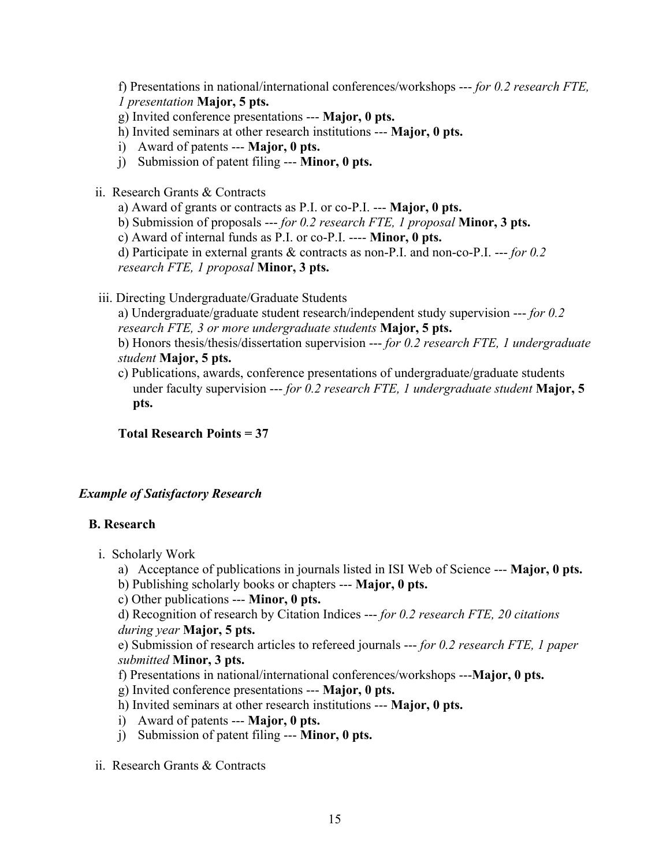f) Presentations in national/international conferences/workshops --- *for 0.2 research FTE, 1 presentation* **Major, 5 pts.**

- g) Invited conference presentations --- **Major, 0 pts.**
- h) Invited seminars at other research institutions --- **Major, 0 pts.**
- i) Award of patents --- **Major, 0 pts.**
- j) Submission of patent filing --- **Minor, 0 pts.**
- ii. Research Grants & Contracts
	- a) Award of grants or contracts as P.I. or co-P.I. --- **Major, 0 pts.**
	- b) Submission of proposals --- *for 0.2 research FTE, 1 proposal* **Minor, 3 pts.**

c) Award of internal funds as P.I. or co-P.I. ---- **Minor, 0 pts.**

d) Participate in external grants & contracts as non-P.I. and non-co-P.I. --- *for 0.2 research FTE, 1 proposal* **Minor, 3 pts.**

iii. Directing Undergraduate/Graduate Students

a) Undergraduate/graduate student research/independent study supervision --- *for 0.2 research FTE, 3 or more undergraduate students* **Major, 5 pts.**

- b) Honors thesis/thesis/dissertation supervision --- *for 0.2 research FTE, 1 undergraduate student* **Major, 5 pts.**
- c) Publications, awards, conference presentations of undergraduate/graduate students under faculty supervision --- *for 0.2 research FTE, 1 undergraduate student* **Major, 5 pts.**

**Total Research Points = 37**

# *Example of Satisfactory Research*

### **B. Research**

- i. Scholarly Work
	- a) Acceptance of publications in journals listed in ISI Web of Science --- **Major, 0 pts.**
	- b) Publishing scholarly books or chapters --- **Major, 0 pts.**
	- c) Other publications --- **Minor, 0 pts.**

d) Recognition of research by Citation Indices --- *for 0.2 research FTE, 20 citations during year* **Major, 5 pts.**

e) Submission of research articles to refereed journals --- *for 0.2 research FTE, 1 paper submitted* **Minor, 3 pts.**

f) Presentations in national/international conferences/workshops ---**Major, 0 pts.**

- g) Invited conference presentations --- **Major, 0 pts.**
- h) Invited seminars at other research institutions --- **Major, 0 pts.**
- i) Award of patents --- **Major, 0 pts.**
- j) Submission of patent filing --- **Minor, 0 pts.**
- ii. Research Grants & Contracts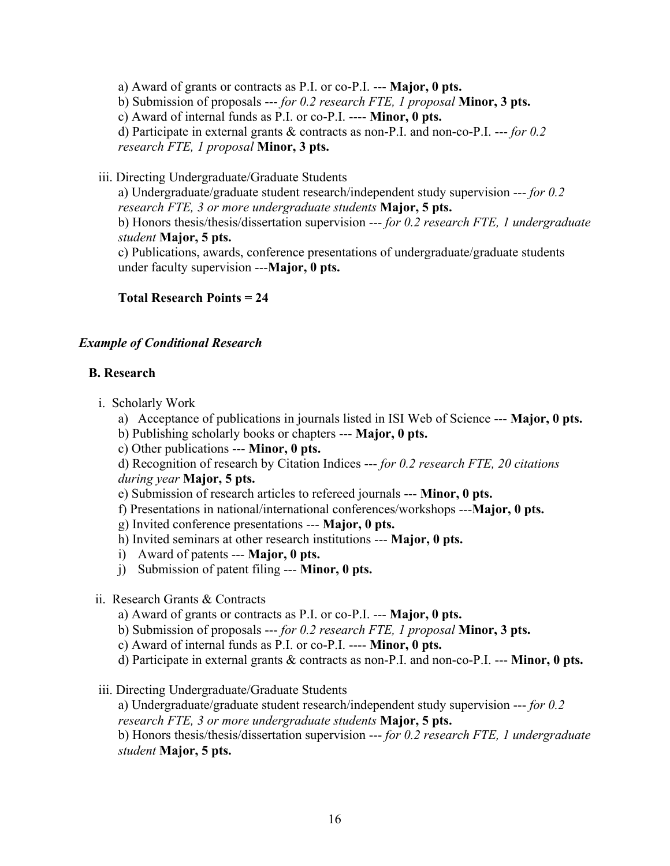a) Award of grants or contracts as P.I. or co-P.I. --- **Major, 0 pts.**

b) Submission of proposals --- *for 0.2 research FTE, 1 proposal* **Minor, 3 pts.**

c) Award of internal funds as P.I. or co-P.I. ---- **Minor, 0 pts.**

d) Participate in external grants & contracts as non-P.I. and non-co-P.I. --- *for 0.2 research FTE, 1 proposal* **Minor, 3 pts.**

iii. Directing Undergraduate/Graduate Students

a) Undergraduate/graduate student research/independent study supervision --- *for 0.2 research FTE, 3 or more undergraduate students* **Major, 5 pts.** b) Honors thesis/thesis/dissertation supervision --- *for 0.2 research FTE, 1 undergraduate student* **Major, 5 pts.**

c) Publications, awards, conference presentations of undergraduate/graduate students under faculty supervision ---**Major, 0 pts.**

**Total Research Points = 24**

# *Example of Conditional Research*

# **B. Research**

- i. Scholarly Work
	- a) Acceptance of publications in journals listed in ISI Web of Science --- **Major, 0 pts.**
	- b) Publishing scholarly books or chapters --- **Major, 0 pts.**
	- c) Other publications --- **Minor, 0 pts.**

d) Recognition of research by Citation Indices --- *for 0.2 research FTE, 20 citations during year* **Major, 5 pts.**

- e) Submission of research articles to refereed journals --- **Minor, 0 pts.**
- f) Presentations in national/international conferences/workshops ---**Major, 0 pts.**
- g) Invited conference presentations --- **Major, 0 pts.**
- h) Invited seminars at other research institutions --- **Major, 0 pts.**
- i) Award of patents --- **Major, 0 pts.**
- j) Submission of patent filing --- **Minor, 0 pts.**
- ii. Research Grants & Contracts
	- a) Award of grants or contracts as P.I. or co-P.I. --- **Major, 0 pts.**
	- b) Submission of proposals --- *for 0.2 research FTE, 1 proposal* **Minor, 3 pts.**
	- c) Award of internal funds as P.I. or co-P.I. ---- **Minor, 0 pts.**
	- d) Participate in external grants & contracts as non-P.I. and non-co-P.I. --- **Minor, 0 pts.**
- iii. Directing Undergraduate/Graduate Students

a) Undergraduate/graduate student research/independent study supervision --- *for 0.2 research FTE, 3 or more undergraduate students* **Major, 5 pts.** b) Honors thesis/thesis/dissertation supervision --- *for 0.2 research FTE, 1 undergraduate student* **Major, 5 pts.**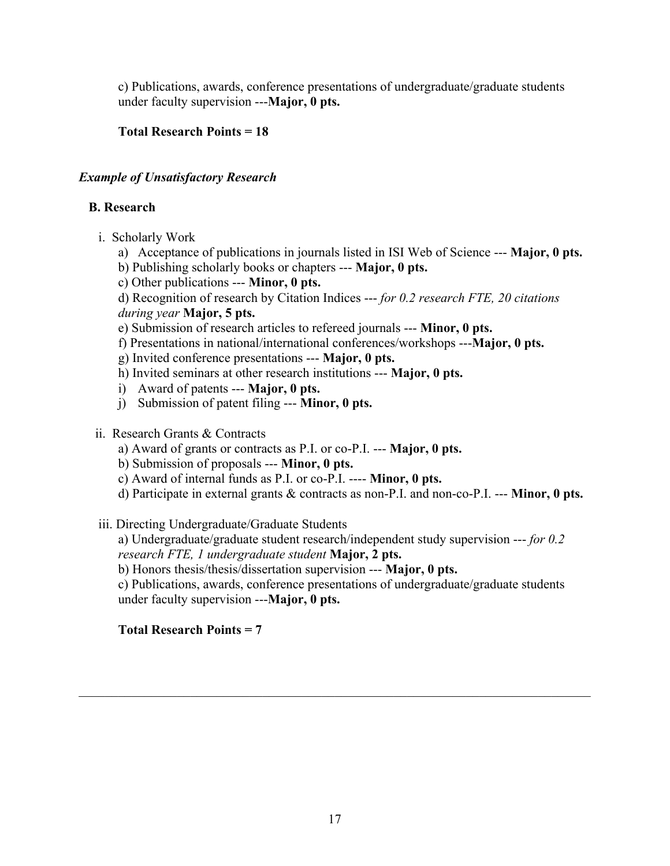c) Publications, awards, conference presentations of undergraduate/graduate students under faculty supervision ---**Major, 0 pts.**

# **Total Research Points = 18**

# *Example of Unsatisfactory Research*

# **B. Research**

- i. Scholarly Work
	- a) Acceptance of publications in journals listed in ISI Web of Science --- **Major, 0 pts.**
	- b) Publishing scholarly books or chapters --- **Major, 0 pts.**
	- c) Other publications --- **Minor, 0 pts.**

d) Recognition of research by Citation Indices --- *for 0.2 research FTE, 20 citations during year* **Major, 5 pts.**

- e) Submission of research articles to refereed journals --- **Minor, 0 pts.**
- f) Presentations in national/international conferences/workshops ---**Major, 0 pts.**
- g) Invited conference presentations --- **Major, 0 pts.**
- h) Invited seminars at other research institutions --- **Major, 0 pts.**
- i) Award of patents --- **Major, 0 pts.**
- j) Submission of patent filing --- **Minor, 0 pts.**
- ii. Research Grants & Contracts
	- a) Award of grants or contracts as P.I. or co-P.I. --- **Major, 0 pts.**
	- b) Submission of proposals --- **Minor, 0 pts.**
	- c) Award of internal funds as P.I. or co-P.I. ---- **Minor, 0 pts.**
	- d) Participate in external grants & contracts as non-P.I. and non-co-P.I. --- **Minor, 0 pts.**
- iii. Directing Undergraduate/Graduate Students

a) Undergraduate/graduate student research/independent study supervision --- *for 0.2 research FTE, 1 undergraduate student* **Major, 2 pts.**

b) Honors thesis/thesis/dissertation supervision --- **Major, 0 pts.**

c) Publications, awards, conference presentations of undergraduate/graduate students under faculty supervision ---**Major, 0 pts.**

# **Total Research Points = 7**

 $\mathcal{L}_\mathcal{L} = \{ \mathcal{L}_\mathcal{L} = \{ \mathcal{L}_\mathcal{L} = \{ \mathcal{L}_\mathcal{L} = \{ \mathcal{L}_\mathcal{L} = \{ \mathcal{L}_\mathcal{L} = \{ \mathcal{L}_\mathcal{L} = \{ \mathcal{L}_\mathcal{L} = \{ \mathcal{L}_\mathcal{L} = \{ \mathcal{L}_\mathcal{L} = \{ \mathcal{L}_\mathcal{L} = \{ \mathcal{L}_\mathcal{L} = \{ \mathcal{L}_\mathcal{L} = \{ \mathcal{L}_\mathcal{L} = \{ \mathcal{L}_\mathcal{$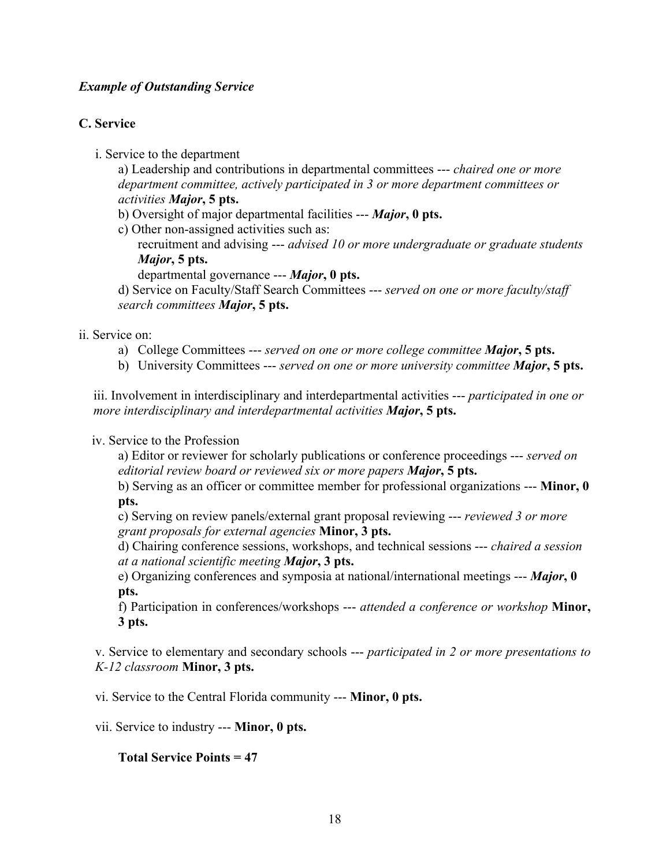## *Example of Outstanding Service*

# **C. Service**

i. Service to the department

a) Leadership and contributions in departmental committees --- *chaired one or more department committee, actively participated in 3 or more department committees or activities Major***, 5 pts.**

b) Oversight of major departmental facilities --- *Major***, 0 pts.**

c) Other non-assigned activities such as:

recruitment and advising --- *advised 10 or more undergraduate or graduate students Major***, 5 pts.**

departmental governance --- *Major***, 0 pts.**

d) Service on Faculty/Staff Search Committees --- *served on one or more faculty/staff search committees Major***, 5 pts.**

#### ii. Service on:

- a) College Committees --- *served on one or more college committee Major***, 5 pts.**
- b) University Committees --- *served on one or more university committee Major***, 5 pts.**

iii. Involvement in interdisciplinary and interdepartmental activities --- *participated in one or more interdisciplinary and interdepartmental activities Major***, 5 pts.**

#### iv. Service to the Profession

a) Editor or reviewer for scholarly publications or conference proceedings --- *served on editorial review board or reviewed six or more papers Major***, 5 pts.**

b) Serving as an officer or committee member for professional organizations --- **Minor, 0 pts.**

c) Serving on review panels/external grant proposal reviewing --- *reviewed 3 or more grant proposals for external agencies* **Minor, 3 pts.**

d) Chairing conference sessions, workshops, and technical sessions --- *chaired a session at a national scientific meeting Major***, 3 pts.**

e) Organizing conferences and symposia at national/international meetings --- *Major***, 0 pts.**

f) Participation in conferences/workshops --- *attended a conference or workshop* **Minor, 3 pts.**

v. Service to elementary and secondary schools --- *participated in 2 or more presentations to K-12 classroom* **Minor, 3 pts.**

vi. Service to the Central Florida community --- **Minor, 0 pts.**

vii. Service to industry --- **Minor, 0 pts.**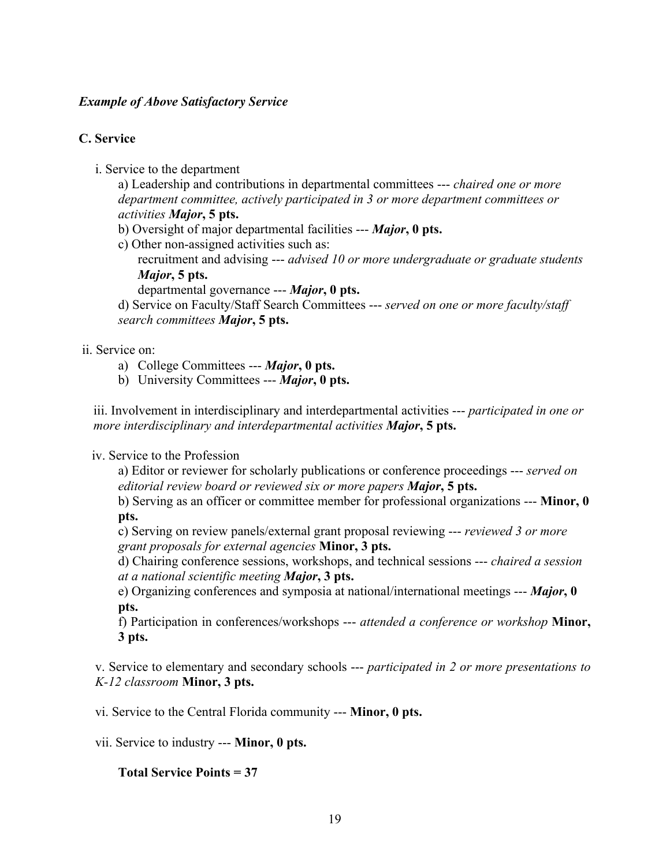## *Example of Above Satisfactory Service*

# **C. Service**

i. Service to the department

a) Leadership and contributions in departmental committees --- *chaired one or more department committee, actively participated in 3 or more department committees or activities Major***, 5 pts.**

- b) Oversight of major departmental facilities --- *Major***, 0 pts.**
- c) Other non-assigned activities such as:
	- recruitment and advising --- *advised 10 or more undergraduate or graduate students Major***, 5 pts.**
		- departmental governance --- *Major***, 0 pts.**

d) Service on Faculty/Staff Search Committees --- *served on one or more faculty/staff search committees Major***, 5 pts.**

## ii. Service on:

- a) College Committees --- *Major***, 0 pts.**
- b) University Committees --- *Major***, 0 pts.**

iii. Involvement in interdisciplinary and interdepartmental activities --- *participated in one or more interdisciplinary and interdepartmental activities Major***, 5 pts.**

### iv. Service to the Profession

a) Editor or reviewer for scholarly publications or conference proceedings --- *served on editorial review board or reviewed six or more papers Major***, 5 pts.**

b) Serving as an officer or committee member for professional organizations --- **Minor, 0 pts.**

c) Serving on review panels/external grant proposal reviewing --- *reviewed 3 or more grant proposals for external agencies* **Minor, 3 pts.**

d) Chairing conference sessions, workshops, and technical sessions --- *chaired a session at a national scientific meeting Major***, 3 pts.**

e) Organizing conferences and symposia at national/international meetings --- *Major***, 0 pts.**

f) Participation in conferences/workshops --- *attended a conference or workshop* **Minor, 3 pts.**

v. Service to elementary and secondary schools --- *participated in 2 or more presentations to K-12 classroom* **Minor, 3 pts.**

vi. Service to the Central Florida community --- **Minor, 0 pts.**

vii. Service to industry --- **Minor, 0 pts.**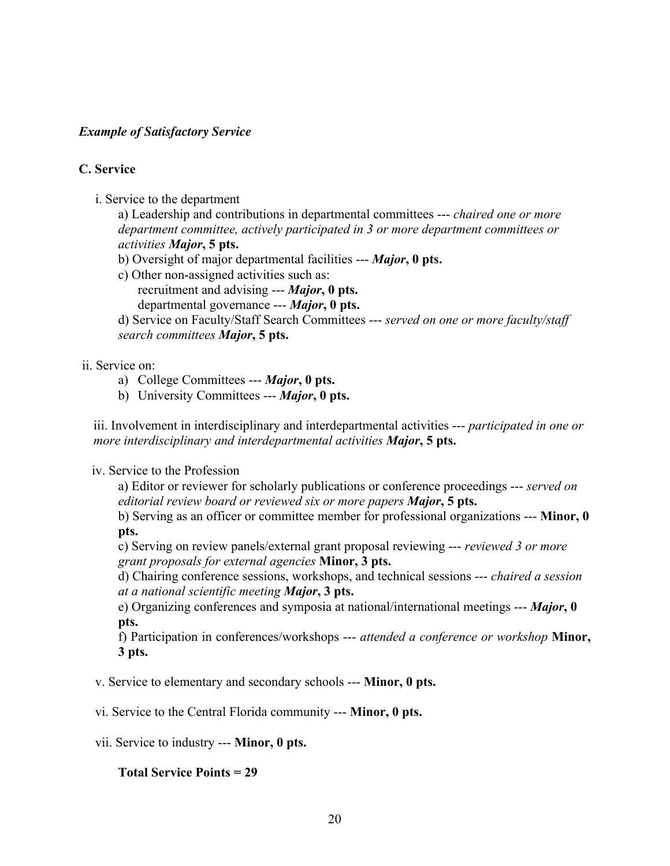# *Example of Satisfactory Service*

## **C. Service**

i. Service to the department

a) Leadership and contributions in departmental committees --- *chaired one or more department committee, actively participated in 3 or more department committees or activities Major***, 5 pts.**

- b) Oversight of major departmental facilities --- *Major***, 0 pts.**
- c) Other non-assigned activities such as:
	- recruitment and advising --- *Major***, 0 pts.**
	- departmental governance --- *Major***, 0 pts.**

d) Service on Faculty/Staff Search Committees --- *served on one or more faculty/staff search committees Major***, 5 pts.**

### ii. Service on:

- a) College Committees --- *Major***, 0 pts.**
- b) University Committees --- *Major***, 0 pts.**

iii. Involvement in interdisciplinary and interdepartmental activities --- *participated in one or more interdisciplinary and interdepartmental activities Major***, 5 pts.**

### iv. Service to the Profession

a) Editor or reviewer for scholarly publications or conference proceedings --- *served on editorial review board or reviewed six or more papers Major***, 5 pts.**

b) Serving as an officer or committee member for professional organizations --- **Minor, 0 pts.**

c) Serving on review panels/external grant proposal reviewing --- *reviewed 3 or more grant proposals for external agencies* **Minor, 3 pts.**

d) Chairing conference sessions, workshops, and technical sessions --- *chaired a session at a national scientific meeting Major***, 3 pts.**

e) Organizing conferences and symposia at national/international meetings --- *Major***, 0 pts.**

f) Participation in conferences/workshops --- *attended a conference or workshop* **Minor, 3 pts.**

v. Service to elementary and secondary schools --- **Minor, 0 pts.**

vi. Service to the Central Florida community --- **Minor, 0 pts.**

vii. Service to industry --- **Minor, 0 pts.**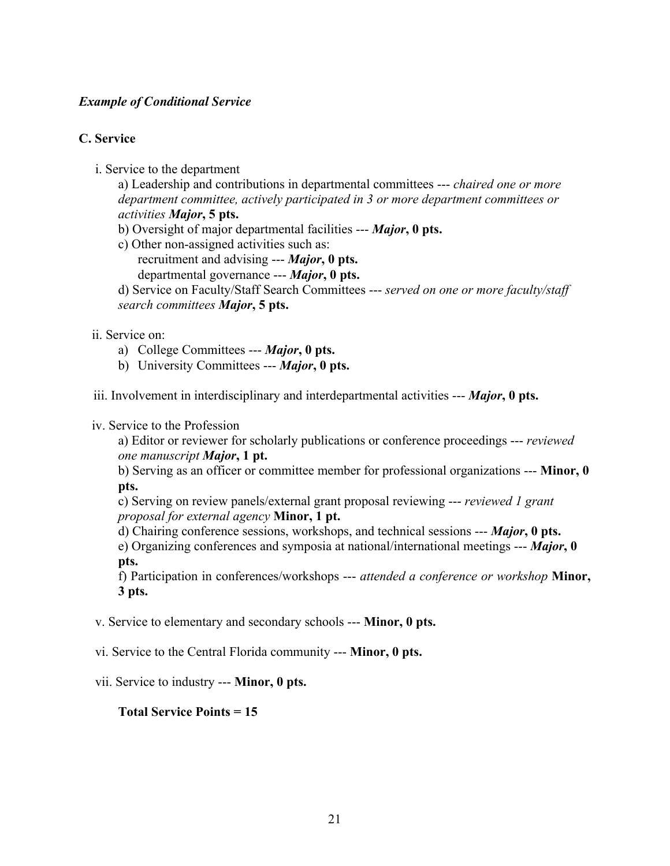## *Example of Conditional Service*

# **C. Service**

i. Service to the department

a) Leadership and contributions in departmental committees --- *chaired one or more department committee, actively participated in 3 or more department committees or activities Major***, 5 pts.**

- b) Oversight of major departmental facilities --- *Major***, 0 pts.**
- c) Other non-assigned activities such as:
	- recruitment and advising --- *Major***, 0 pts.**
	- departmental governance --- *Major***, 0 pts.**
- d) Service on Faculty/Staff Search Committees --- *served on one or more faculty/staff search committees Major***, 5 pts.**

#### ii. Service on:

- a) College Committees --- *Major***, 0 pts.**
- b) University Committees --- *Major***, 0 pts.**

iii. Involvement in interdisciplinary and interdepartmental activities --- *Major***, 0 pts.**

#### iv. Service to the Profession

a) Editor or reviewer for scholarly publications or conference proceedings --- *reviewed one manuscript Major***, 1 pt.**

b) Serving as an officer or committee member for professional organizations --- **Minor, 0 pts.**

c) Serving on review panels/external grant proposal reviewing --- *reviewed 1 grant proposal for external agency* **Minor, 1 pt.**

d) Chairing conference sessions, workshops, and technical sessions --- *Major***, 0 pts.** e) Organizing conferences and symposia at national/international meetings --- *Major***, 0 pts.**

f) Participation in conferences/workshops --- *attended a conference or workshop* **Minor, 3 pts.**

v. Service to elementary and secondary schools --- **Minor, 0 pts.**

vi. Service to the Central Florida community --- **Minor, 0 pts.**

vii. Service to industry --- **Minor, 0 pts.**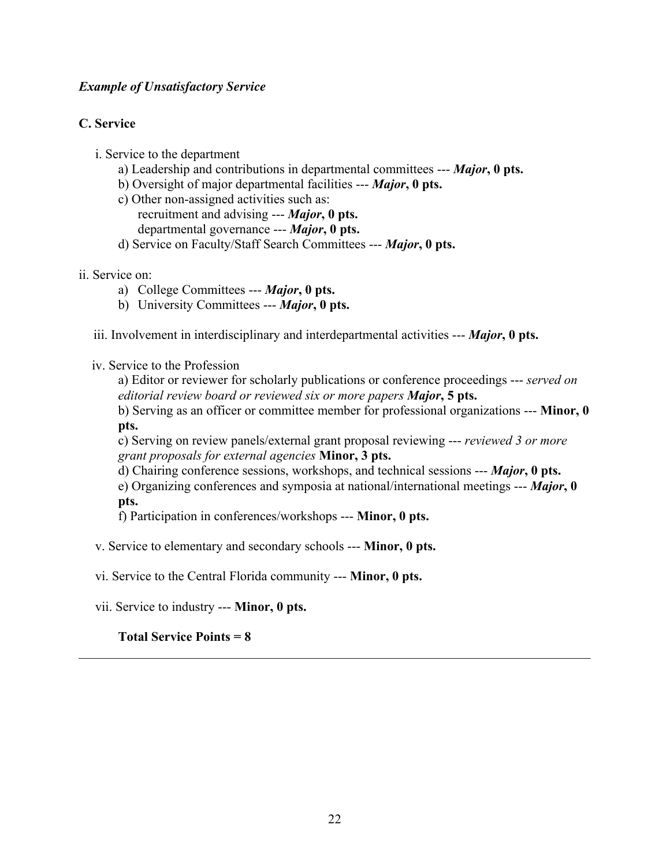# *Example of Unsatisfactory Service*

# **C. Service**

- i. Service to the department
	- a) Leadership and contributions in departmental committees --- *Major***, 0 pts.**
	- b) Oversight of major departmental facilities --- *Major***, 0 pts.**
	- c) Other non-assigned activities such as: recruitment and advising --- *Major***, 0 pts.** departmental governance --- *Major***, 0 pts.**
	- d) Service on Faculty/Staff Search Committees --- *Major***, 0 pts.**

## ii. Service on:

- a) College Committees --- *Major***, 0 pts.**
- b) University Committees --- *Major***, 0 pts.**

iii. Involvement in interdisciplinary and interdepartmental activities --- *Major***, 0 pts.**

### iv. Service to the Profession

a) Editor or reviewer for scholarly publications or conference proceedings --- *served on editorial review board or reviewed six or more papers Major***, 5 pts.**

b) Serving as an officer or committee member for professional organizations --- **Minor, 0 pts.**

c) Serving on review panels/external grant proposal reviewing --- *reviewed 3 or more grant proposals for external agencies* **Minor, 3 pts.**

d) Chairing conference sessions, workshops, and technical sessions --- *Major***, 0 pts.** e) Organizing conferences and symposia at national/international meetings --- *Major***, 0 pts.**

f) Participation in conferences/workshops --- **Minor, 0 pts.**

v. Service to elementary and secondary schools --- **Minor, 0 pts.**

vi. Service to the Central Florida community --- **Minor, 0 pts.**

vii. Service to industry --- **Minor, 0 pts.**

# **Total Service Points = 8**

 $\mathcal{L}_\mathcal{L} = \{ \mathcal{L}_\mathcal{L} = \{ \mathcal{L}_\mathcal{L} = \{ \mathcal{L}_\mathcal{L} = \{ \mathcal{L}_\mathcal{L} = \{ \mathcal{L}_\mathcal{L} = \{ \mathcal{L}_\mathcal{L} = \{ \mathcal{L}_\mathcal{L} = \{ \mathcal{L}_\mathcal{L} = \{ \mathcal{L}_\mathcal{L} = \{ \mathcal{L}_\mathcal{L} = \{ \mathcal{L}_\mathcal{L} = \{ \mathcal{L}_\mathcal{L} = \{ \mathcal{L}_\mathcal{L} = \{ \mathcal{L}_\mathcal{$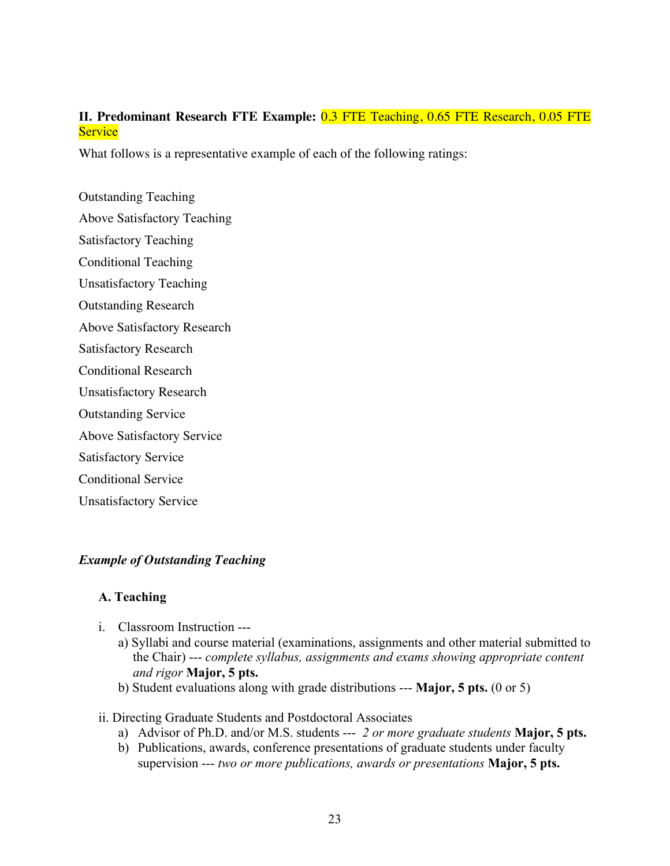# **II. Predominant Research FTE Example:** 0.3 FTE Teaching, 0.65 FTE Research, 0.05 FTE **Service**

What follows is a representative example of each of the following ratings:

Outstanding Teaching Above Satisfactory Teaching Satisfactory Teaching Conditional Teaching Unsatisfactory Teaching Outstanding Research Above Satisfactory Research Satisfactory Research Conditional Research Unsatisfactory Research Outstanding Service Above Satisfactory Service Satisfactory Service Conditional Service Unsatisfactory Service

# *Example of Outstanding Teaching*

# **A. Teaching**

- i. Classroom Instruction --
	- a) Syllabi and course material (examinations, assignments and other material submitted to the Chair) --- *complete syllabus, assignments and exams showing appropriate content and rigor* **Major, 5 pts.**
	- b) Student evaluations along with grade distributions --- **Major, 5 pts.** (0 or 5)

### ii. Directing Graduate Students and Postdoctoral Associates

- a) Advisor of Ph.D. and/or M.S. students --- *2 or more graduate students* **Major, 5 pts.**
- b) Publications, awards, conference presentations of graduate students under faculty supervision --- *two or more publications, awards or presentations* **Major, 5 pts.**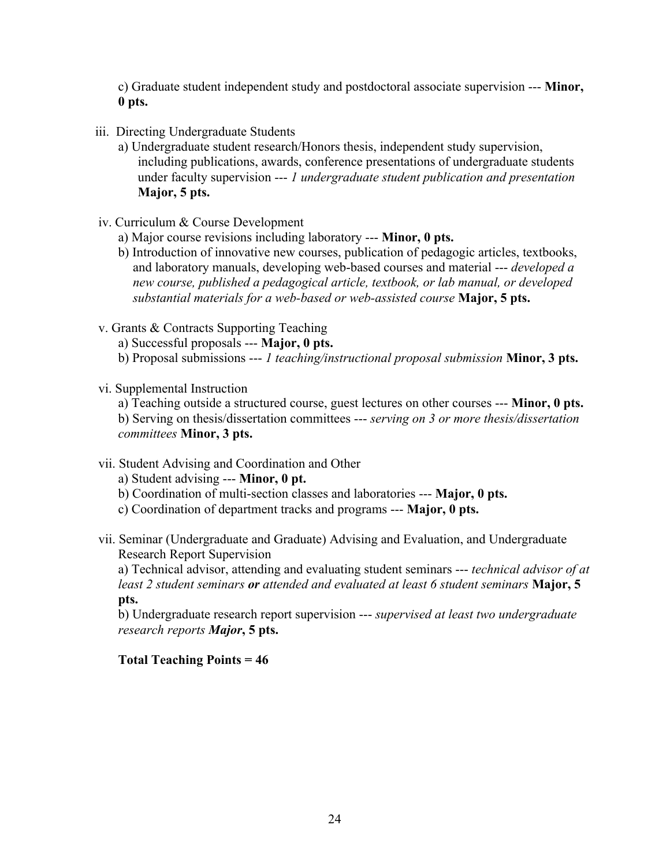c) Graduate student independent study and postdoctoral associate supervision --- **Minor, 0 pts.**

- iii. Directing Undergraduate Students
	- a) Undergraduate student research/Honors thesis, independent study supervision, including publications, awards, conference presentations of undergraduate students under faculty supervision --- *1 undergraduate student publication and presentation* **Major, 5 pts.**
- iv. Curriculum & Course Development
	- a) Major course revisions including laboratory --- **Minor, 0 pts.**
	- b) Introduction of innovative new courses, publication of pedagogic articles, textbooks, and laboratory manuals, developing web-based courses and material --- *developed a new course, published a pedagogical article, textbook, or lab manual, or developed substantial materials for a web-based or web-assisted course* **Major, 5 pts.**
- v. Grants & Contracts Supporting Teaching
	- a) Successful proposals --- **Major, 0 pts.**
	- b) Proposal submissions --- *1 teaching/instructional proposal submission* **Minor, 3 pts.**
- vi. Supplemental Instruction

a) Teaching outside a structured course, guest lectures on other courses --- **Minor, 0 pts.** b) Serving on thesis/dissertation committees --- *serving on 3 or more thesis/dissertation committees* **Minor, 3 pts.**

- vii. Student Advising and Coordination and Other
	- a) Student advising --- **Minor, 0 pt.**
	- b) Coordination of multi-section classes and laboratories --- **Major, 0 pts.**
	- c) Coordination of department tracks and programs --- **Major, 0 pts.**
- vii. Seminar (Undergraduate and Graduate) Advising and Evaluation, and Undergraduate Research Report Supervision

a) Technical advisor, attending and evaluating student seminars --- *technical advisor of at least 2 student seminars or attended and evaluated at least 6 student seminars* **Major, 5 pts.**

b) Undergraduate research report supervision --- *supervised at least two undergraduate research reports Major***, 5 pts.**

# **Total Teaching Points = 46**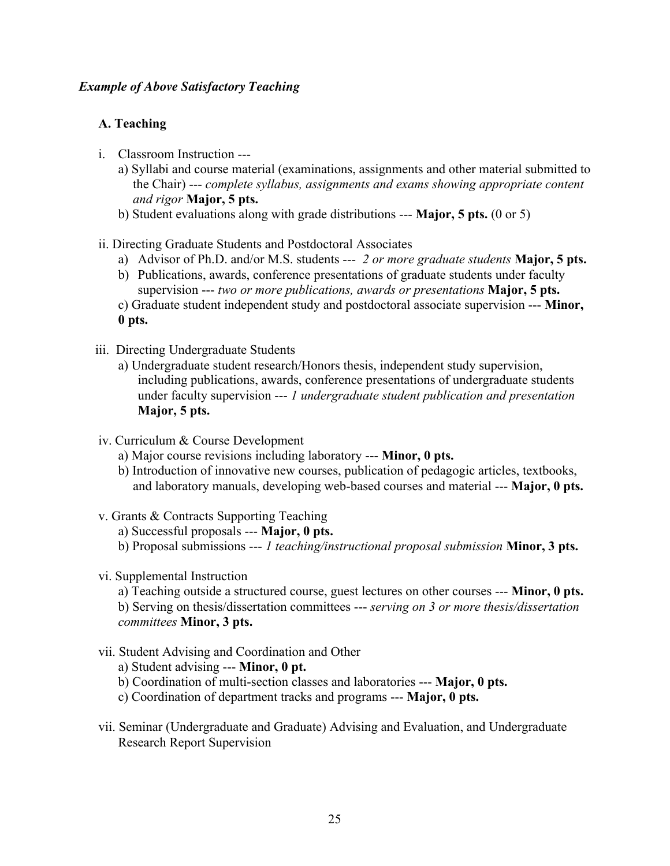## *Example of Above Satisfactory Teaching*

# **A. Teaching**

- i. Classroom Instruction --
	- a) Syllabi and course material (examinations, assignments and other material submitted to the Chair) --- *complete syllabus, assignments and exams showing appropriate content and rigor* **Major, 5 pts.**
	- b) Student evaluations along with grade distributions --- **Major, 5 pts.** (0 or 5)
- ii. Directing Graduate Students and Postdoctoral Associates
	- a) Advisor of Ph.D. and/or M.S. students --- *2 or more graduate students* **Major, 5 pts.**
	- b) Publications, awards, conference presentations of graduate students under faculty supervision --- *two or more publications, awards or presentations* **Major, 5 pts.**
	- c) Graduate student independent study and postdoctoral associate supervision --- **Minor, 0 pts.**
- iii. Directing Undergraduate Students
	- a) Undergraduate student research/Honors thesis, independent study supervision, including publications, awards, conference presentations of undergraduate students under faculty supervision --- *1 undergraduate student publication and presentation* **Major, 5 pts.**
- iv. Curriculum & Course Development
	- a) Major course revisions including laboratory --- **Minor, 0 pts.**
	- b) Introduction of innovative new courses, publication of pedagogic articles, textbooks, and laboratory manuals, developing web-based courses and material --- **Major, 0 pts.**
- v. Grants & Contracts Supporting Teaching
	- a) Successful proposals --- **Major, 0 pts.**
	- b) Proposal submissions --- *1 teaching/instructional proposal submission* **Minor, 3 pts.**
- vi. Supplemental Instruction

a) Teaching outside a structured course, guest lectures on other courses --- **Minor, 0 pts.** b) Serving on thesis/dissertation committees --- *serving on 3 or more thesis/dissertation committees* **Minor, 3 pts.**

vii. Student Advising and Coordination and Other

a) Student advising --- **Minor, 0 pt.**

- b) Coordination of multi-section classes and laboratories --- **Major, 0 pts.**
- c) Coordination of department tracks and programs --- **Major, 0 pts.**
- vii. Seminar (Undergraduate and Graduate) Advising and Evaluation, and Undergraduate Research Report Supervision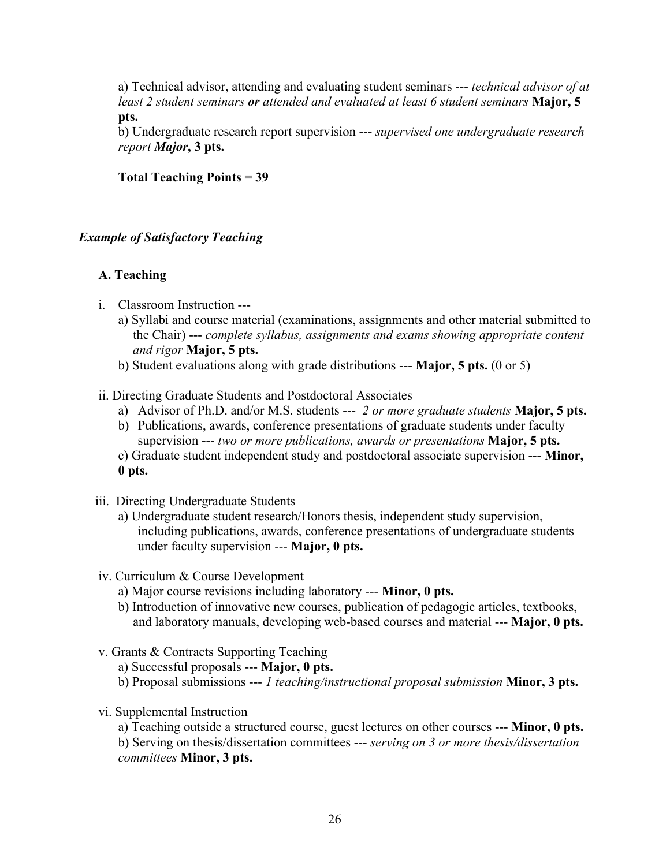a) Technical advisor, attending and evaluating student seminars --- *technical advisor of at least 2 student seminars or attended and evaluated at least 6 student seminars* **Major, 5 pts.**

b) Undergraduate research report supervision --- *supervised one undergraduate research report Major***, 3 pts.**

### **Total Teaching Points = 39**

### *Example of Satisfactory Teaching*

## **A. Teaching**

- i. Classroom Instruction --
	- a) Syllabi and course material (examinations, assignments and other material submitted to the Chair) --- *complete syllabus, assignments and exams showing appropriate content and rigor* **Major, 5 pts.**
	- b) Student evaluations along with grade distributions --- **Major, 5 pts.** (0 or 5)
- ii. Directing Graduate Students and Postdoctoral Associates
	- a) Advisor of Ph.D. and/or M.S. students --- *2 or more graduate students* **Major, 5 pts.**
	- b) Publications, awards, conference presentations of graduate students under faculty supervision --- *two or more publications, awards or presentations* **Major, 5 pts.**
	- c) Graduate student independent study and postdoctoral associate supervision --- **Minor, 0 pts.**
- iii. Directing Undergraduate Students
	- a) Undergraduate student research/Honors thesis, independent study supervision, including publications, awards, conference presentations of undergraduate students under faculty supervision --- **Major, 0 pts.**
- iv. Curriculum & Course Development
	- a) Major course revisions including laboratory --- **Minor, 0 pts.**
	- b) Introduction of innovative new courses, publication of pedagogic articles, textbooks, and laboratory manuals, developing web-based courses and material --- **Major, 0 pts.**
- v. Grants & Contracts Supporting Teaching
	- a) Successful proposals --- **Major, 0 pts.**
	- b) Proposal submissions --- *1 teaching/instructional proposal submission* **Minor, 3 pts.**
- vi. Supplemental Instruction

a) Teaching outside a structured course, guest lectures on other courses --- **Minor, 0 pts.** b) Serving on thesis/dissertation committees --- *serving on 3 or more thesis/dissertation committees* **Minor, 3 pts.**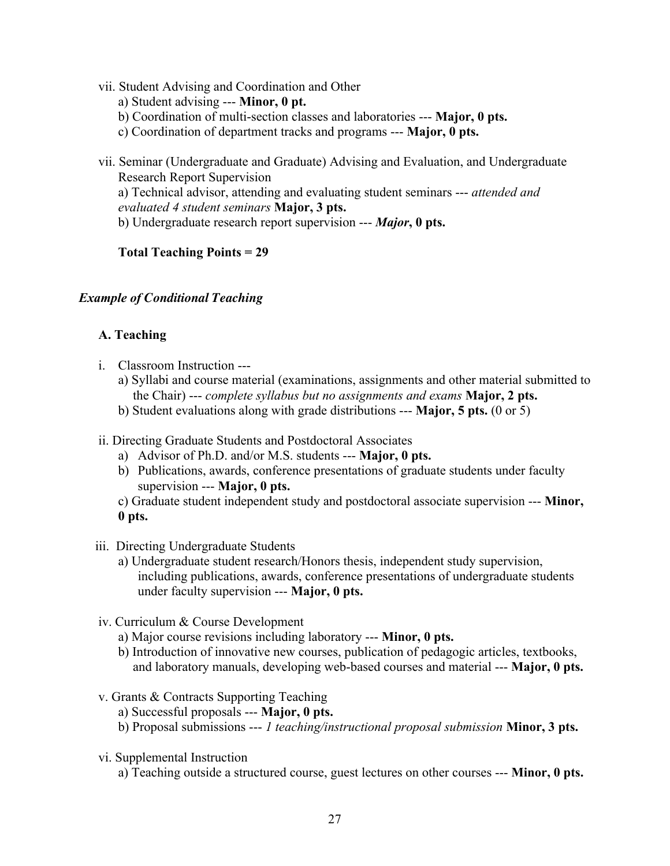- vii. Student Advising and Coordination and Other a) Student advising --- **Minor, 0 pt.** b) Coordination of multi-section classes and laboratories --- **Major, 0 pts.** c) Coordination of department tracks and programs --- **Major, 0 pts.**
- vii. Seminar (Undergraduate and Graduate) Advising and Evaluation, and Undergraduate Research Report Supervision a) Technical advisor, attending and evaluating student seminars --- *attended and evaluated 4 student seminars* **Major, 3 pts.** b) Undergraduate research report supervision --- *Major***, 0 pts.**

**Total Teaching Points = 29**

# *Example of Conditional Teaching*

# **A. Teaching**

- i. Classroom Instruction --
	- a) Syllabi and course material (examinations, assignments and other material submitted to the Chair) --- *complete syllabus but no assignments and exams* **Major, 2 pts.**
	- b) Student evaluations along with grade distributions --- **Major, 5 pts.** (0 or 5)
- ii. Directing Graduate Students and Postdoctoral Associates
	- a) Advisor of Ph.D. and/or M.S. students --- **Major, 0 pts.**
	- b) Publications, awards, conference presentations of graduate students under faculty supervision --- **Major, 0 pts.**
	- c) Graduate student independent study and postdoctoral associate supervision --- **Minor, 0 pts.**
- iii. Directing Undergraduate Students
	- a) Undergraduate student research/Honors thesis, independent study supervision, including publications, awards, conference presentations of undergraduate students under faculty supervision --- **Major, 0 pts.**
- iv. Curriculum & Course Development
	- a) Major course revisions including laboratory --- **Minor, 0 pts.**
	- b) Introduction of innovative new courses, publication of pedagogic articles, textbooks, and laboratory manuals, developing web-based courses and material --- **Major, 0 pts.**
- v. Grants & Contracts Supporting Teaching
	- a) Successful proposals --- **Major, 0 pts.**
	- b) Proposal submissions --- *1 teaching/instructional proposal submission* **Minor, 3 pts.**
- vi. Supplemental Instruction
	- a) Teaching outside a structured course, guest lectures on other courses --- **Minor, 0 pts.**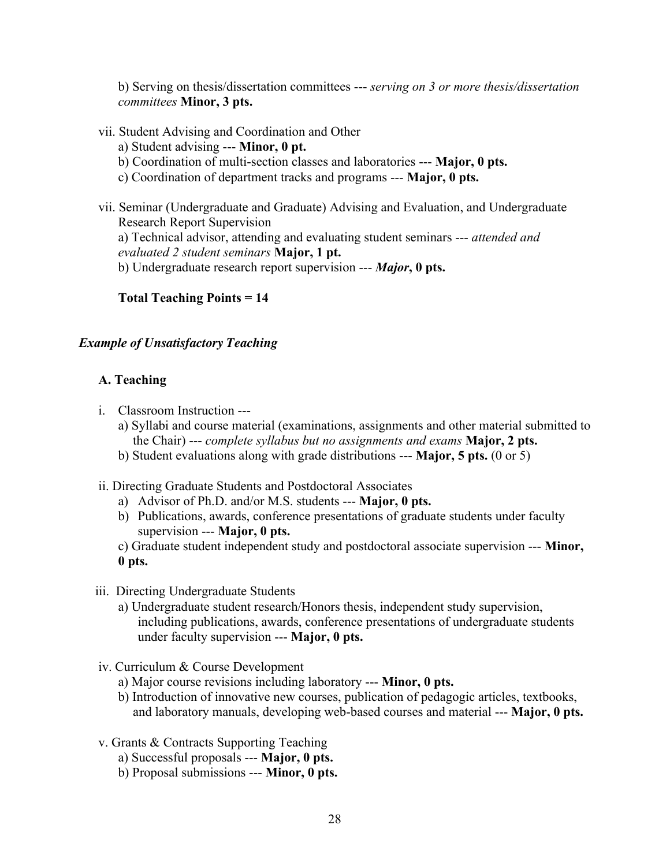b) Serving on thesis/dissertation committees --- *serving on 3 or more thesis/dissertation committees* **Minor, 3 pts.**

- vii. Student Advising and Coordination and Other
	- a) Student advising --- **Minor, 0 pt.**
	- b) Coordination of multi-section classes and laboratories --- **Major, 0 pts.**
	- c) Coordination of department tracks and programs --- **Major, 0 pts.**
- vii. Seminar (Undergraduate and Graduate) Advising and Evaluation, and Undergraduate Research Report Supervision a) Technical advisor, attending and evaluating student seminars --- *attended and evaluated 2 student seminars* **Major, 1 pt.** b) Undergraduate research report supervision --- *Major***, 0 pts.**

# **Total Teaching Points = 14**

# *Example of Unsatisfactory Teaching*

# **A. Teaching**

- i. Classroom Instruction --
	- a) Syllabi and course material (examinations, assignments and other material submitted to the Chair) --- *complete syllabus but no assignments and exams* **Major, 2 pts.**
	- b) Student evaluations along with grade distributions --- **Major, 5 pts.** (0 or 5)
- ii. Directing Graduate Students and Postdoctoral Associates
	- a) Advisor of Ph.D. and/or M.S. students --- **Major, 0 pts.**
	- b) Publications, awards, conference presentations of graduate students under faculty supervision --- **Major, 0 pts.**
	- c) Graduate student independent study and postdoctoral associate supervision --- **Minor, 0 pts.**
- iii. Directing Undergraduate Students
	- a) Undergraduate student research/Honors thesis, independent study supervision, including publications, awards, conference presentations of undergraduate students under faculty supervision --- **Major, 0 pts.**
- iv. Curriculum & Course Development
	- a) Major course revisions including laboratory --- **Minor, 0 pts.**
	- b) Introduction of innovative new courses, publication of pedagogic articles, textbooks, and laboratory manuals, developing web-based courses and material --- **Major, 0 pts.**
- v. Grants & Contracts Supporting Teaching
	- a) Successful proposals --- **Major, 0 pts.**
	- b) Proposal submissions --- **Minor, 0 pts.**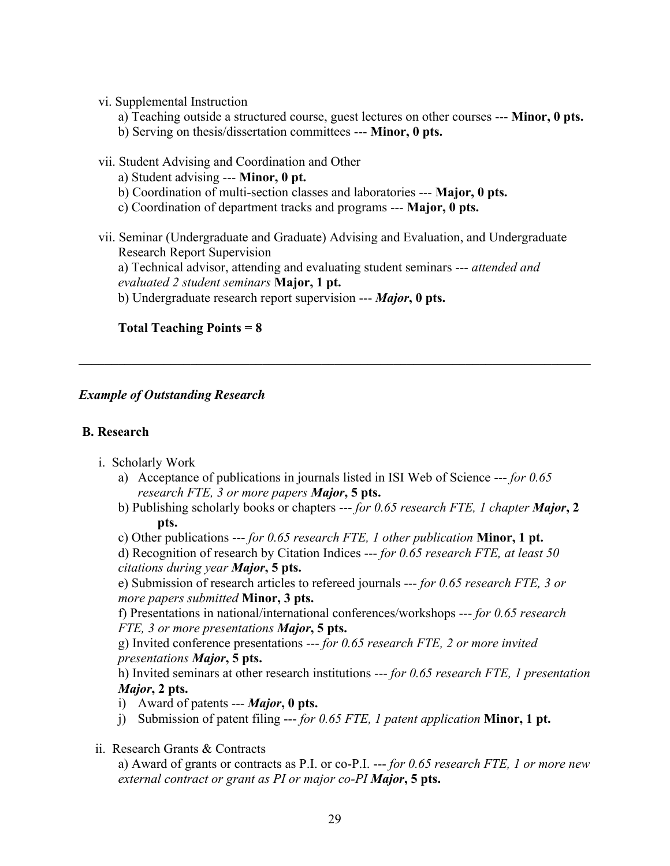## vi. Supplemental Instruction

- a) Teaching outside a structured course, guest lectures on other courses --- **Minor, 0 pts.**
- b) Serving on thesis/dissertation committees --- **Minor, 0 pts.**
- vii. Student Advising and Coordination and Other
	- a) Student advising --- **Minor, 0 pt.**
	- b) Coordination of multi-section classes and laboratories --- **Major, 0 pts.**
	- c) Coordination of department tracks and programs --- **Major, 0 pts.**
- vii. Seminar (Undergraduate and Graduate) Advising and Evaluation, and Undergraduate Research Report Supervision

a) Technical advisor, attending and evaluating student seminars --- *attended and evaluated 2 student seminars* **Major, 1 pt.**

 $\mathcal{L}_\mathcal{L} = \{ \mathcal{L}_\mathcal{L} = \{ \mathcal{L}_\mathcal{L} = \{ \mathcal{L}_\mathcal{L} = \{ \mathcal{L}_\mathcal{L} = \{ \mathcal{L}_\mathcal{L} = \{ \mathcal{L}_\mathcal{L} = \{ \mathcal{L}_\mathcal{L} = \{ \mathcal{L}_\mathcal{L} = \{ \mathcal{L}_\mathcal{L} = \{ \mathcal{L}_\mathcal{L} = \{ \mathcal{L}_\mathcal{L} = \{ \mathcal{L}_\mathcal{L} = \{ \mathcal{L}_\mathcal{L} = \{ \mathcal{L}_\mathcal{$ 

b) Undergraduate research report supervision --- *Major***, 0 pts.**

# **Total Teaching Points = 8**

# *Example of Outstanding Research*

# **B. Research**

- i. Scholarly Work
	- a) Acceptance of publications in journals listed in ISI Web of Science --- *for 0.65 research FTE, 3 or more papers Major***, 5 pts.**
	- b) Publishing scholarly books or chapters --- *for 0.65 research FTE, 1 chapter Major***, 2 pts.**

c) Other publications --- *for 0.65 research FTE, 1 other publication* **Minor, 1 pt.**

d) Recognition of research by Citation Indices --- *for 0.65 research FTE, at least 50 citations during year Major***, 5 pts.**

e) Submission of research articles to refereed journals --- *for 0.65 research FTE, 3 or more papers submitted* **Minor, 3 pts.**

f) Presentations in national/international conferences/workshops --- *for 0.65 research FTE, 3 or more presentations Major***, 5 pts.**

g) Invited conference presentations --- *for 0.65 research FTE, 2 or more invited presentations Major***, 5 pts.**

h) Invited seminars at other research institutions --- *for 0.65 research FTE, 1 presentation Major***, 2 pts.**

- i) Award of patents --- *Major***, 0 pts.**
- j) Submission of patent filing --- *for 0.65 FTE, 1 patent application* **Minor, 1 pt.**
- ii. Research Grants & Contracts

a) Award of grants or contracts as P.I. or co-P.I. --- *for 0.65 research FTE, 1 or more new external contract or grant as PI or major co-PI Major***, 5 pts.**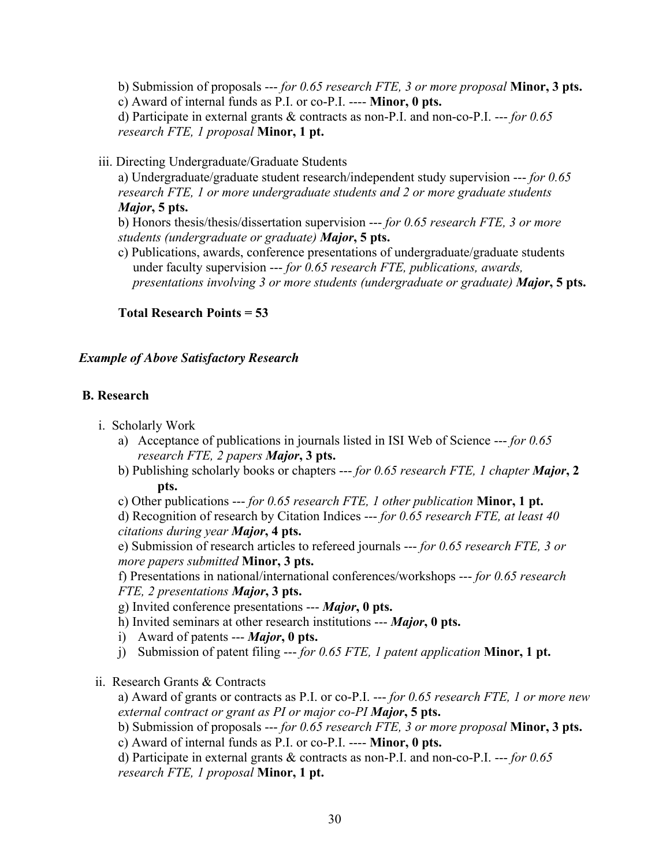b) Submission of proposals --- *for 0.65 research FTE, 3 or more proposal* **Minor, 3 pts.** c) Award of internal funds as P.I. or co-P.I. ---- **Minor, 0 pts.** d) Participate in external grants & contracts as non-P.I. and non-co-P.I. --- *for 0.65 research FTE, 1 proposal* **Minor, 1 pt.**

iii. Directing Undergraduate/Graduate Students

a) Undergraduate/graduate student research/independent study supervision --- *for 0.65 research FTE, 1 or more undergraduate students and 2 or more graduate students Major***, 5 pts.**

b) Honors thesis/thesis/dissertation supervision --- *for 0.65 research FTE, 3 or more students (undergraduate or graduate) Major***, 5 pts.**

c) Publications, awards, conference presentations of undergraduate/graduate students under faculty supervision --- *for 0.65 research FTE, publications, awards, presentations involving 3 or more students (undergraduate or graduate) Major***, 5 pts.**

**Total Research Points = 53**

### *Example of Above Satisfactory Research*

### **B. Research**

- i. Scholarly Work
	- a) Acceptance of publications in journals listed in ISI Web of Science --- *for 0.65 research FTE, 2 papers Major***, 3 pts.**
	- b) Publishing scholarly books or chapters --- *for 0.65 research FTE, 1 chapter Major***, 2 pts.**

c) Other publications --- *for 0.65 research FTE, 1 other publication* **Minor, 1 pt.**

d) Recognition of research by Citation Indices --- *for 0.65 research FTE, at least 40 citations during year Major***, 4 pts.**

e) Submission of research articles to refereed journals --- *for 0.65 research FTE, 3 or more papers submitted* **Minor, 3 pts.**

f) Presentations in national/international conferences/workshops --- *for 0.65 research FTE, 2 presentations Major***, 3 pts.**

g) Invited conference presentations --- *Major***, 0 pts.**

- h) Invited seminars at other research institutions --- *Major***, 0 pts.**
- i) Award of patents --- *Major***, 0 pts.**
- j) Submission of patent filing --- *for 0.65 FTE, 1 patent application* **Minor, 1 pt.**
- ii. Research Grants & Contracts

a) Award of grants or contracts as P.I. or co-P.I. --- *for 0.65 research FTE, 1 or more new external contract or grant as PI or major co-PI Major***, 5 pts.**

b) Submission of proposals --- *for 0.65 research FTE, 3 or more proposal* **Minor, 3 pts.**

c) Award of internal funds as P.I. or co-P.I. ---- **Minor, 0 pts.**

d) Participate in external grants & contracts as non-P.I. and non-co-P.I. --- *for 0.65 research FTE, 1 proposal* **Minor, 1 pt.**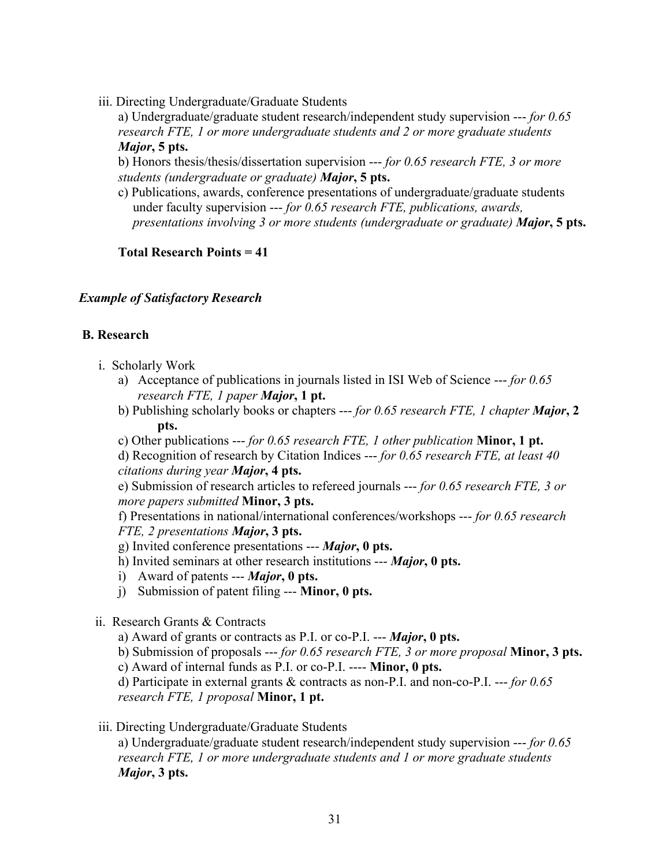iii. Directing Undergraduate/Graduate Students

a) Undergraduate/graduate student research/independent study supervision --- *for 0.65 research FTE, 1 or more undergraduate students and 2 or more graduate students Major***, 5 pts.**

b) Honors thesis/thesis/dissertation supervision --- *for 0.65 research FTE, 3 or more students (undergraduate or graduate) Major***, 5 pts.**

c) Publications, awards, conference presentations of undergraduate/graduate students under faculty supervision --- *for 0.65 research FTE, publications, awards, presentations involving 3 or more students (undergraduate or graduate) Major***, 5 pts.**

**Total Research Points = 41**

## *Example of Satisfactory Research*

## **B. Research**

- i. Scholarly Work
	- a) Acceptance of publications in journals listed in ISI Web of Science --- *for 0.65 research FTE, 1 paper Major***, 1 pt.**
	- b) Publishing scholarly books or chapters --- *for 0.65 research FTE, 1 chapter Major***, 2 pts.**
	- c) Other publications --- *for 0.65 research FTE, 1 other publication* **Minor, 1 pt.**

d) Recognition of research by Citation Indices --- *for 0.65 research FTE, at least 40 citations during year Major***, 4 pts.**

e) Submission of research articles to refereed journals --- *for 0.65 research FTE, 3 or more papers submitted* **Minor, 3 pts.**

f) Presentations in national/international conferences/workshops --- *for 0.65 research FTE, 2 presentations Major***, 3 pts.**

- g) Invited conference presentations --- *Major***, 0 pts.**
- h) Invited seminars at other research institutions --- *Major***, 0 pts.**
- i) Award of patents --- *Major***, 0 pts.**
- j) Submission of patent filing --- **Minor, 0 pts.**
- ii. Research Grants & Contracts
	- a) Award of grants or contracts as P.I. or co-P.I. --- *Major***, 0 pts.**

b) Submission of proposals --- *for 0.65 research FTE, 3 or more proposal* **Minor, 3 pts.**

c) Award of internal funds as P.I. or co-P.I. ---- **Minor, 0 pts.**

d) Participate in external grants & contracts as non-P.I. and non-co-P.I. --- *for 0.65 research FTE, 1 proposal* **Minor, 1 pt.**

iii. Directing Undergraduate/Graduate Students

a) Undergraduate/graduate student research/independent study supervision --- *for 0.65 research FTE, 1 or more undergraduate students and 1 or more graduate students Major***, 3 pts.**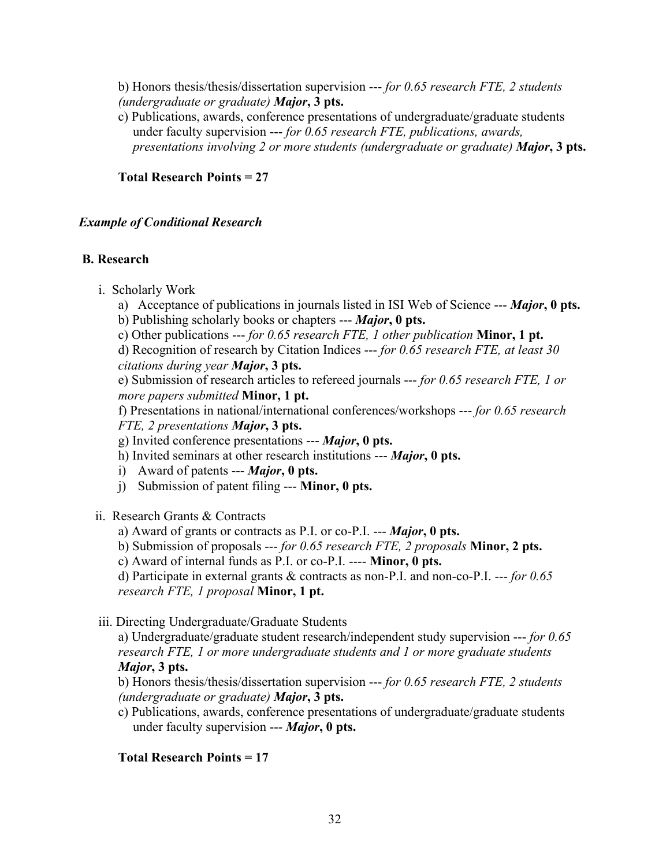b) Honors thesis/thesis/dissertation supervision --- *for 0.65 research FTE, 2 students (undergraduate or graduate) Major***, 3 pts.**

c) Publications, awards, conference presentations of undergraduate/graduate students under faculty supervision --- *for 0.65 research FTE, publications, awards, presentations involving 2 or more students (undergraduate or graduate) Major***, 3 pts.**

## **Total Research Points = 27**

### *Example of Conditional Research*

## **B. Research**

- i. Scholarly Work
	- a) Acceptance of publications in journals listed in ISI Web of Science --- *Major***, 0 pts.**
	- b) Publishing scholarly books or chapters --- *Major***, 0 pts.**
	- c) Other publications --- *for 0.65 research FTE, 1 other publication* **Minor, 1 pt.**

d) Recognition of research by Citation Indices --- *for 0.65 research FTE, at least 30 citations during year Major***, 3 pts.**

e) Submission of research articles to refereed journals --- *for 0.65 research FTE, 1 or more papers submitted* **Minor, 1 pt.**

f) Presentations in national/international conferences/workshops --- *for 0.65 research FTE, 2 presentations Major***, 3 pts.**

g) Invited conference presentations --- *Major***, 0 pts.**

- h) Invited seminars at other research institutions --- *Major***, 0 pts.**
- i) Award of patents --- *Major***, 0 pts.**
- j) Submission of patent filing --- **Minor, 0 pts.**
- ii. Research Grants & Contracts
	- a) Award of grants or contracts as P.I. or co-P.I. --- *Major***, 0 pts.**
	- b) Submission of proposals --- *for 0.65 research FTE, 2 proposals* **Minor, 2 pts.**

c) Award of internal funds as P.I. or co-P.I. ---- **Minor, 0 pts.**

d) Participate in external grants & contracts as non-P.I. and non-co-P.I. --- *for 0.65 research FTE, 1 proposal* **Minor, 1 pt.**

iii. Directing Undergraduate/Graduate Students

a) Undergraduate/graduate student research/independent study supervision --- *for 0.65 research FTE, 1 or more undergraduate students and 1 or more graduate students Major***, 3 pts.**

b) Honors thesis/thesis/dissertation supervision --- *for 0.65 research FTE, 2 students (undergraduate or graduate) Major***, 3 pts.**

c) Publications, awards, conference presentations of undergraduate/graduate students under faculty supervision --- *Major***, 0 pts.**

# **Total Research Points = 17**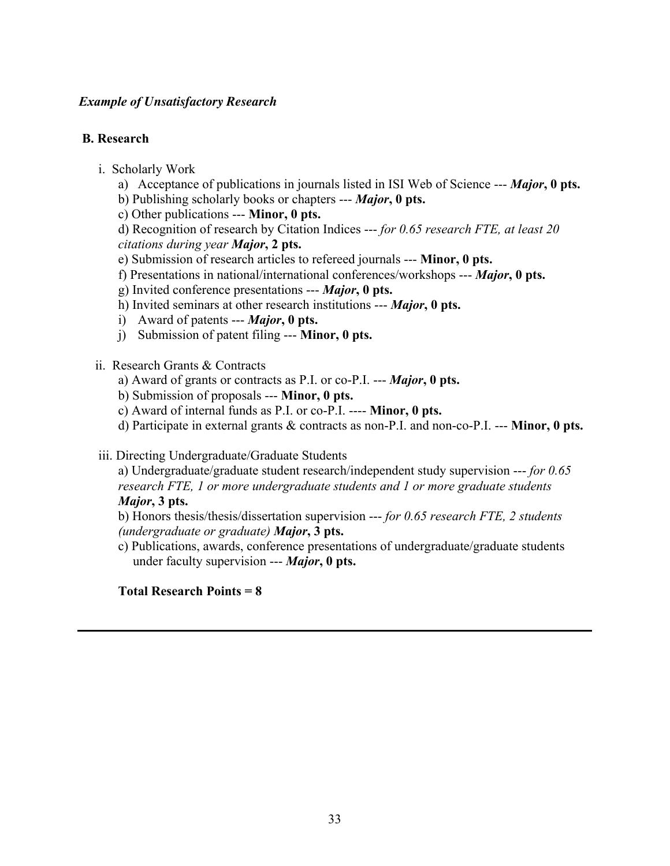## *Example of Unsatisfactory Research*

## **B. Research**

- i. Scholarly Work
	- a) Acceptance of publications in journals listed in ISI Web of Science --- *Major***, 0 pts.**
	- b) Publishing scholarly books or chapters --- *Major***, 0 pts.**
	- c) Other publications --- **Minor, 0 pts.**

d) Recognition of research by Citation Indices --- *for 0.65 research FTE, at least 20 citations during year Major***, 2 pts.**

- e) Submission of research articles to refereed journals --- **Minor, 0 pts.**
- f) Presentations in national/international conferences/workshops --- *Major***, 0 pts.**
- g) Invited conference presentations --- *Major***, 0 pts.**
- h) Invited seminars at other research institutions --- *Major***, 0 pts.**
- i) Award of patents --- *Major***, 0 pts.**
- j) Submission of patent filing --- **Minor, 0 pts.**
- ii. Research Grants & Contracts
	- a) Award of grants or contracts as P.I. or co-P.I. --- *Major***, 0 pts.**
	- b) Submission of proposals --- **Minor, 0 pts.**
	- c) Award of internal funds as P.I. or co-P.I. ---- **Minor, 0 pts.**
	- d) Participate in external grants & contracts as non-P.I. and non-co-P.I. --- **Minor, 0 pts.**

iii. Directing Undergraduate/Graduate Students

a) Undergraduate/graduate student research/independent study supervision --- *for 0.65 research FTE, 1 or more undergraduate students and 1 or more graduate students Major***, 3 pts.**

b) Honors thesis/thesis/dissertation supervision --- *for 0.65 research FTE, 2 students (undergraduate or graduate) Major***, 3 pts.**

c) Publications, awards, conference presentations of undergraduate/graduate students under faculty supervision --- *Major***, 0 pts.**

### **Total Research Points = 8**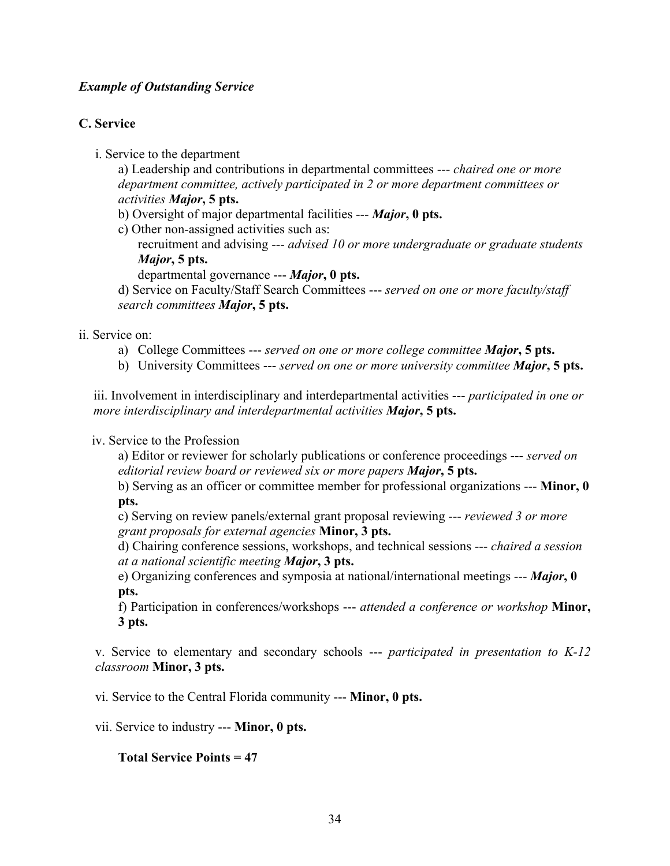## *Example of Outstanding Service*

# **C. Service**

i. Service to the department

a) Leadership and contributions in departmental committees --- *chaired one or more department committee, actively participated in 2 or more department committees or activities Major***, 5 pts.**

b) Oversight of major departmental facilities --- *Major***, 0 pts.**

c) Other non-assigned activities such as:

recruitment and advising --- *advised 10 or more undergraduate or graduate students Major***, 5 pts.**

departmental governance --- *Major***, 0 pts.**

d) Service on Faculty/Staff Search Committees --- *served on one or more faculty/staff search committees Major***, 5 pts.**

#### ii. Service on:

- a) College Committees --- *served on one or more college committee Major***, 5 pts.**
- b) University Committees --- *served on one or more university committee Major***, 5 pts.**

iii. Involvement in interdisciplinary and interdepartmental activities --- *participated in one or more interdisciplinary and interdepartmental activities Major***, 5 pts.**

#### iv. Service to the Profession

a) Editor or reviewer for scholarly publications or conference proceedings --- *served on editorial review board or reviewed six or more papers Major***, 5 pts.**

b) Serving as an officer or committee member for professional organizations --- **Minor, 0 pts.**

c) Serving on review panels/external grant proposal reviewing --- *reviewed 3 or more grant proposals for external agencies* **Minor, 3 pts.**

d) Chairing conference sessions, workshops, and technical sessions --- *chaired a session at a national scientific meeting Major***, 3 pts.**

e) Organizing conferences and symposia at national/international meetings --- *Major***, 0 pts.**

f) Participation in conferences/workshops --- *attended a conference or workshop* **Minor, 3 pts.**

v. Service to elementary and secondary schools --- *participated in presentation to K-12 classroom* **Minor, 3 pts.**

vi. Service to the Central Florida community --- **Minor, 0 pts.**

vii. Service to industry --- **Minor, 0 pts.**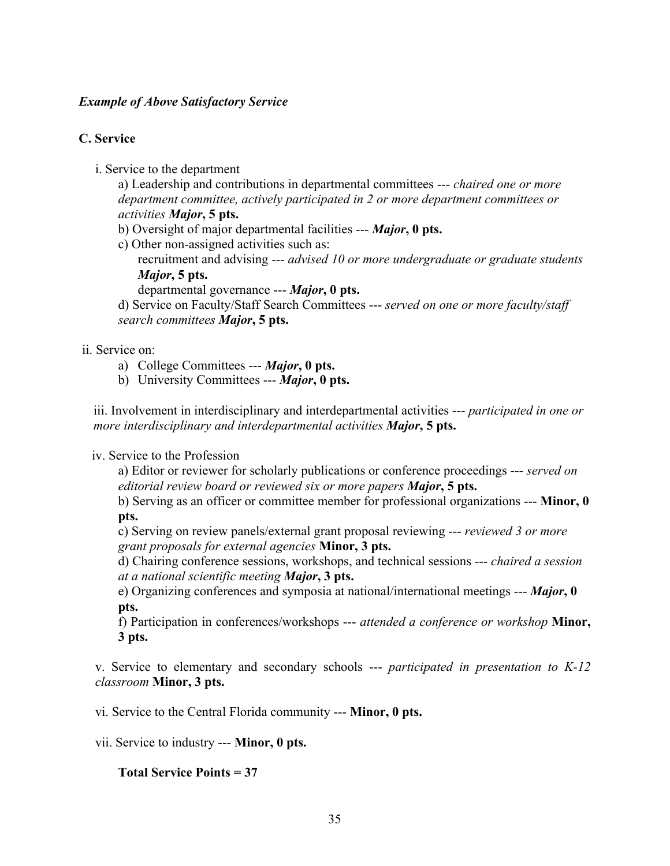## *Example of Above Satisfactory Service*

# **C. Service**

i. Service to the department

a) Leadership and contributions in departmental committees --- *chaired one or more department committee, actively participated in 2 or more department committees or activities Major***, 5 pts.**

- b) Oversight of major departmental facilities --- *Major***, 0 pts.**
- c) Other non-assigned activities such as:
	- recruitment and advising --- *advised 10 or more undergraduate or graduate students Major***, 5 pts.**
		- departmental governance --- *Major***, 0 pts.**

d) Service on Faculty/Staff Search Committees --- *served on one or more faculty/staff search committees Major***, 5 pts.**

# ii. Service on:

- a) College Committees --- *Major***, 0 pts.**
- b) University Committees --- *Major***, 0 pts.**

iii. Involvement in interdisciplinary and interdepartmental activities --- *participated in one or more interdisciplinary and interdepartmental activities Major***, 5 pts.**

# iv. Service to the Profession

a) Editor or reviewer for scholarly publications or conference proceedings --- *served on editorial review board or reviewed six or more papers Major***, 5 pts.**

b) Serving as an officer or committee member for professional organizations --- **Minor, 0 pts.**

c) Serving on review panels/external grant proposal reviewing --- *reviewed 3 or more grant proposals for external agencies* **Minor, 3 pts.**

d) Chairing conference sessions, workshops, and technical sessions --- *chaired a session at a national scientific meeting Major***, 3 pts.**

e) Organizing conferences and symposia at national/international meetings --- *Major***, 0 pts.**

f) Participation in conferences/workshops --- *attended a conference or workshop* **Minor, 3 pts.**

v. Service to elementary and secondary schools --- *participated in presentation to K-12 classroom* **Minor, 3 pts.**

vi. Service to the Central Florida community --- **Minor, 0 pts.**

vii. Service to industry --- **Minor, 0 pts.**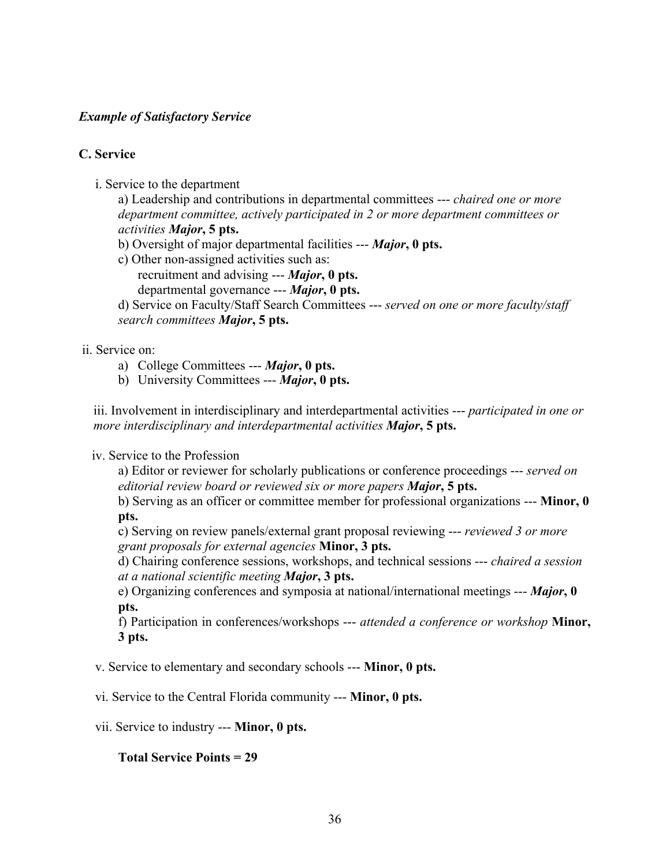## *Example of Satisfactory Service*

## **C. Service**

i. Service to the department

a) Leadership and contributions in departmental committees --- *chaired one or more department committee, actively participated in 2 or more department committees or activities Major***, 5 pts.**

- b) Oversight of major departmental facilities --- *Major***, 0 pts.**
- c) Other non-assigned activities such as: recruitment and advising --- *Major***, 0 pts.**
	- departmental governance --- *Major***, 0 pts.**

d) Service on Faculty/Staff Search Committees --- *served on one or more faculty/staff search committees Major***, 5 pts.**

## ii. Service on:

- a) College Committees --- *Major***, 0 pts.**
- b) University Committees --- *Major***, 0 pts.**

iii. Involvement in interdisciplinary and interdepartmental activities --- *participated in one or more interdisciplinary and interdepartmental activities Major***, 5 pts.**

### iv. Service to the Profession

a) Editor or reviewer for scholarly publications or conference proceedings --- *served on editorial review board or reviewed six or more papers Major***, 5 pts.**

b) Serving as an officer or committee member for professional organizations --- **Minor, 0 pts.**

c) Serving on review panels/external grant proposal reviewing --- *reviewed 3 or more grant proposals for external agencies* **Minor, 3 pts.**

d) Chairing conference sessions, workshops, and technical sessions --- *chaired a session at a national scientific meeting Major***, 3 pts.**

e) Organizing conferences and symposia at national/international meetings --- *Major***, 0 pts.**

f) Participation in conferences/workshops --- *attended a conference or workshop* **Minor, 3 pts.**

v. Service to elementary and secondary schools --- **Minor, 0 pts.**

vi. Service to the Central Florida community --- **Minor, 0 pts.**

vii. Service to industry --- **Minor, 0 pts.**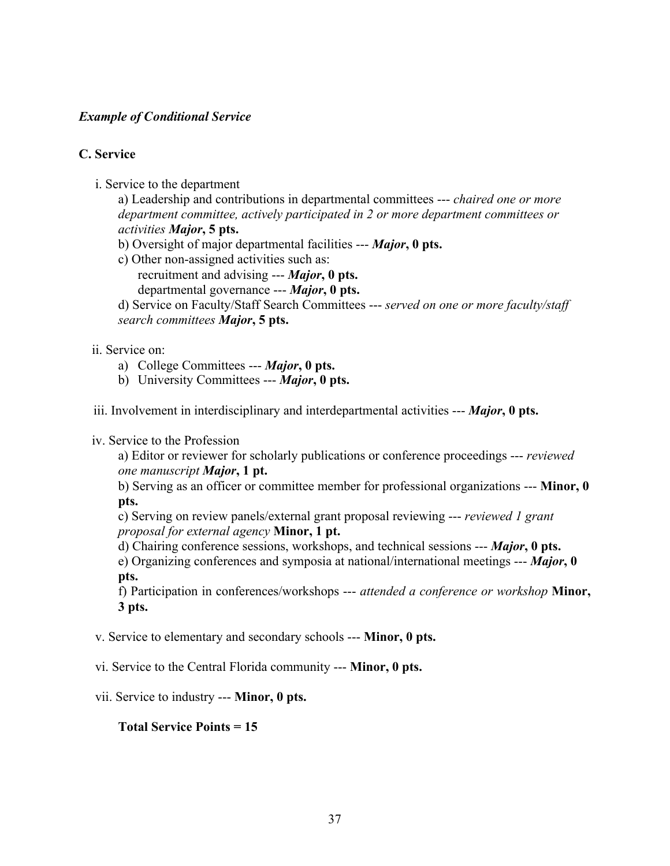## *Example of Conditional Service*

## **C. Service**

i. Service to the department

a) Leadership and contributions in departmental committees --- *chaired one or more department committee, actively participated in 2 or more department committees or activities Major***, 5 pts.**

- b) Oversight of major departmental facilities --- *Major***, 0 pts.**
- c) Other non-assigned activities such as: recruitment and advising --- *Major***, 0 pts.** departmental governance --- *Major***, 0 pts.**

d) Service on Faculty/Staff Search Committees --- *served on one or more faculty/staff search committees Major***, 5 pts.**

## ii. Service on:

- a) College Committees --- *Major***, 0 pts.**
- b) University Committees --- *Major***, 0 pts.**

iii. Involvement in interdisciplinary and interdepartmental activities --- *Major***, 0 pts.**

### iv. Service to the Profession

a) Editor or reviewer for scholarly publications or conference proceedings --- *reviewed one manuscript Major***, 1 pt.**

b) Serving as an officer or committee member for professional organizations --- **Minor, 0 pts.**

c) Serving on review panels/external grant proposal reviewing --- *reviewed 1 grant proposal for external agency* **Minor, 1 pt.**

d) Chairing conference sessions, workshops, and technical sessions --- *Major***, 0 pts.** e) Organizing conferences and symposia at national/international meetings --- *Major***, 0 pts.**

f) Participation in conferences/workshops --- *attended a conference or workshop* **Minor, 3 pts.**

v. Service to elementary and secondary schools --- **Minor, 0 pts.**

vi. Service to the Central Florida community --- **Minor, 0 pts.**

vii. Service to industry --- **Minor, 0 pts.**